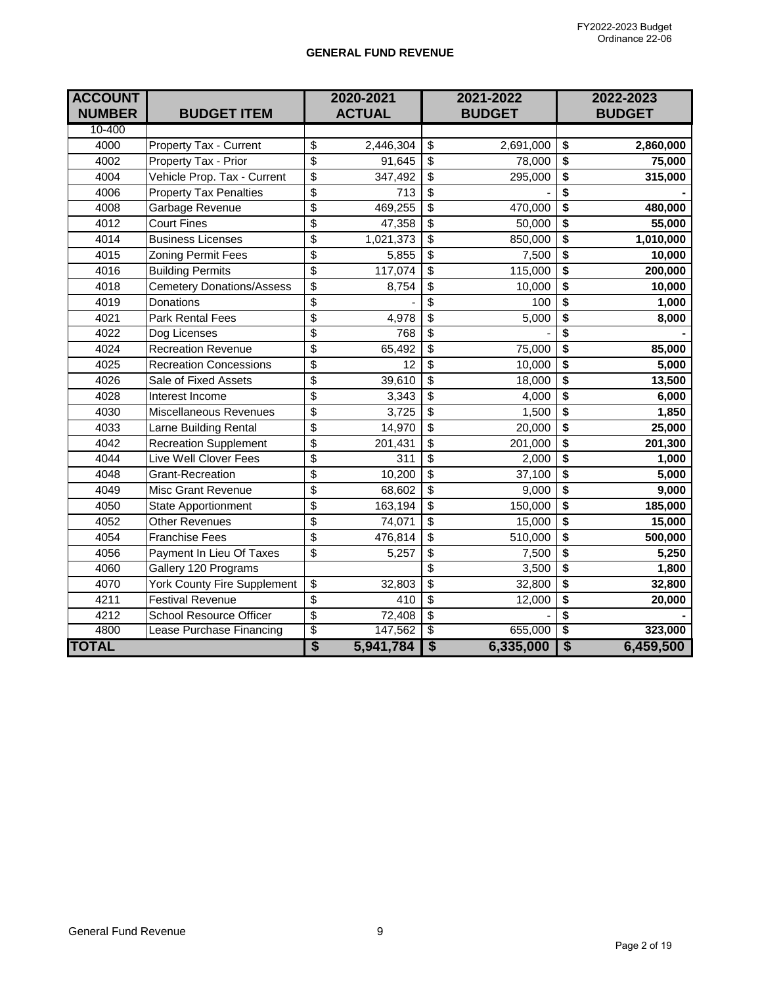#### **GENERAL FUND REVENUE**

| <b>ACCOUNT</b><br><b>NUMBER</b> | <b>BUDGET ITEM</b>               |                                      | 2020-2021<br><b>ACTUAL</b> |                                      | 2021-2022<br><b>BUDGET</b> |                                      | 2022-2023<br><b>BUDGET</b> |
|---------------------------------|----------------------------------|--------------------------------------|----------------------------|--------------------------------------|----------------------------|--------------------------------------|----------------------------|
| 10-400                          |                                  |                                      |                            |                                      |                            |                                      |                            |
| 4000                            | Property Tax - Current           | \$                                   | 2,446,304                  | \$                                   | 2,691,000                  | \$                                   | 2,860,000                  |
| 4002                            | Property Tax - Prior             | \$                                   | 91,645                     | \$                                   | 78,000                     | $\overline{\boldsymbol{\mathsf{s}}}$ | 75,000                     |
| 4004                            | Vehicle Prop. Tax - Current      | \$                                   | 347,492                    | \$                                   | 295,000                    | \$                                   | 315,000                    |
| 4006                            | <b>Property Tax Penalties</b>    | \$                                   | 713                        | \$                                   |                            | $\overline{\boldsymbol{\mathsf{s}}}$ |                            |
| 4008                            | Garbage Revenue                  | \$                                   | 469,255                    | \$                                   | 470,000                    | \$                                   | 480,000                    |
| 4012                            | <b>Court Fines</b>               | \$                                   | 47,358                     | \$                                   | 50,000                     | $\overline{\boldsymbol{\mathsf{s}}}$ | 55,000                     |
| 4014                            | <b>Business Licenses</b>         | \$                                   | 1,021,373                  | \$                                   | 850,000                    | \$                                   | 1,010,000                  |
| 4015                            | <b>Zoning Permit Fees</b>        | \$                                   | 5,855                      | \$                                   | 7,500                      | \$                                   | 10,000                     |
| 4016                            | <b>Building Permits</b>          | \$                                   | 117,074                    | \$                                   | 115,000                    | $\overline{\boldsymbol{\mathsf{s}}}$ | 200,000                    |
| 4018                            | <b>Cemetery Donations/Assess</b> | \$                                   | 8,754                      | \$                                   | 10,000                     | \$                                   | 10,000                     |
| 4019                            | Donations                        | \$                                   |                            | \$                                   | 100                        | $\overline{\mathbf{s}}$              | 1,000                      |
| 4021                            | <b>Park Rental Fees</b>          | \$                                   | 4,978                      | \$                                   | 5,000                      | $\overline{\boldsymbol{\mathsf{s}}}$ | 8,000                      |
| 4022                            | Dog Licenses                     | \$                                   | 768                        | \$                                   |                            | \$                                   |                            |
| 4024                            | <b>Recreation Revenue</b>        | \$                                   | 65,492                     | $\overline{\mathbb{S}}$              | 75,000                     | $\overline{\boldsymbol{\mathsf{s}}}$ | 85,000                     |
| 4025                            | <b>Recreation Concessions</b>    | \$                                   | $\overline{12}$            | $\overline{\mathsf{s}}$              | 10,000                     | $\overline{\mathbf{s}}$              | 5,000                      |
| 4026                            | Sale of Fixed Assets             | \$                                   | 39,610                     | $\overline{\mathsf{s}}$              | 18,000                     | $\overline{\mathbf{S}}$              | 13,500                     |
| 4028                            | Interest Income                  | \$                                   | 3,343                      | \$                                   | 4,000                      | $\overline{\boldsymbol{\mathsf{s}}}$ | 6,000                      |
| 4030                            | Miscellaneous Revenues           | \$                                   | 3,725                      | \$                                   | 1,500                      | \$                                   | 1,850                      |
| 4033                            | Larne Building Rental            | \$                                   | 14,970                     | \$                                   | 20,000                     | $\overline{\$}$                      | 25,000                     |
| 4042                            | <b>Recreation Supplement</b>     | \$                                   | 201,431                    | \$                                   | 201,000                    | \$                                   | 201,300                    |
| 4044                            | Live Well Clover Fees            | \$                                   | 311                        | $\overline{\mathsf{s}}$              | 2,000                      | $\overline{\boldsymbol{\mathsf{s}}}$ | 1,000                      |
| 4048                            | <b>Grant-Recreation</b>          | \$                                   | 10,200                     | $\overline{\$}$                      | 37,100                     | $\overline{\mathbf{s}}$              | 5,000                      |
| 4049                            | <b>Misc Grant Revenue</b>        | \$                                   | 68,602                     | \$                                   | 9,000                      | $\overline{\boldsymbol{\mathsf{s}}}$ | 9,000                      |
| 4050                            | <b>State Apportionment</b>       | $\overline{\$}$                      | 163,194                    | $\overline{\$}$                      | 150,000                    | $\overline{\$}$                      | 185,000                    |
| 4052                            | <b>Other Revenues</b>            | \$                                   | 74,071                     | $\overline{\$}$                      | 15,000                     | $\overline{\$}$                      | 15,000                     |
| 4054                            | <b>Franchise Fees</b>            | \$                                   | 476,814                    | \$                                   | 510,000                    | \$                                   | 500,000                    |
| 4056                            | Payment In Lieu Of Taxes         | \$                                   | 5,257                      | \$                                   | 7,500                      | $\overline{\boldsymbol{\mathsf{s}}}$ | 5,250                      |
| 4060                            | Gallery 120 Programs             |                                      |                            | \$                                   | 3,500                      | \$                                   | 1,800                      |
| 4070                            | York County Fire Supplement      | \$                                   | 32,803                     | \$                                   | 32,800                     | $\overline{\boldsymbol{\theta}}$     | 32,800                     |
| 4211                            | <b>Festival Revenue</b>          | \$                                   | 410                        | \$                                   | 12,000                     | \$                                   | 20,000                     |
| 4212                            | School Resource Officer          | \$                                   | 72,408                     | \$                                   |                            | \$                                   |                            |
| 4800                            | Lease Purchase Financing         | \$                                   | 147,562                    | $\overline{\boldsymbol{\theta}}$     | 655,000                    | $\overline{\boldsymbol{\mathsf{s}}}$ | 323,000                    |
| <b>TOTAL</b>                    |                                  | $\overline{\boldsymbol{\mathsf{S}}}$ | 5,941,784                  | $\overline{\boldsymbol{\mathsf{s}}}$ | 6,335,000                  | $\overline{\$}$                      | 6,459,500                  |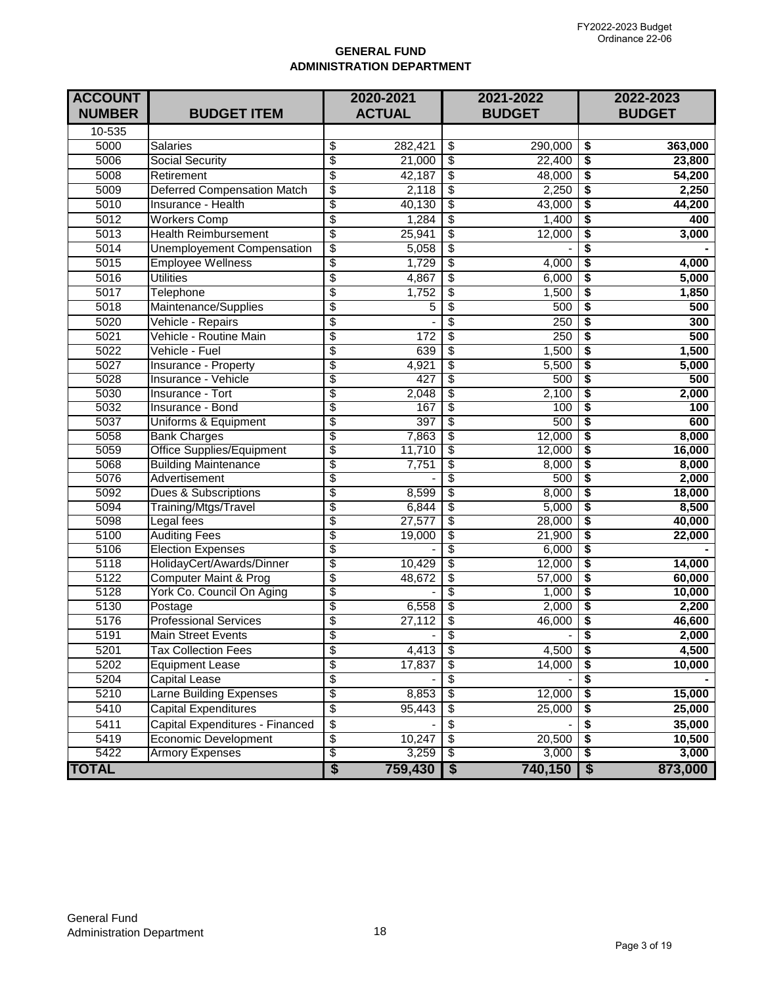### **GENERAL FUND ADMINISTRATION DEPARTMENT**

| <b>ACCOUNT</b> |                                                               |                                             | 2020-2021     | 2021-2022<br><b>BUDGET</b> |                 |                         | 2022-2023       |
|----------------|---------------------------------------------------------------|---------------------------------------------|---------------|----------------------------|-----------------|-------------------------|-----------------|
| <b>NUMBER</b>  | <b>BUDGET ITEM</b>                                            |                                             | <b>ACTUAL</b> |                            |                 |                         | <b>BUDGET</b>   |
| 10-535         |                                                               |                                             |               |                            |                 |                         |                 |
| 5000           | <b>Salaries</b>                                               | \$                                          | 282,421       | \$                         | 290,000         | \$                      | 363,000         |
| 5006           | <b>Social Security</b>                                        | $\overline{\$}$                             | 21,000        | $\overline{\$}$            | 22,400          | \$                      | 23,800          |
| 5008           | Retirement                                                    | $\overline{\$}$                             | 42,187        | \$                         | 48,000          | \$                      | 54,200          |
| 5009           | <b>Deferred Compensation Match</b>                            | $\overline{\$}$                             | 2,118         | \$                         | 2,250           | \$                      | 2,250           |
| 5010           | Insurance - Health                                            | $\overline{\$}$                             | 40,130        | $\overline{\$}$            | 43,000          | \$                      | 44,200          |
| 5012           | <b>Workers Comp</b>                                           | $\overline{\$}$                             | 1,284         | $\overline{\$}$            | 1,400           | \$                      | 400             |
| 5013           | <b>Health Reimbursement</b>                                   | $\overline{\$}$                             | 25,941        | $\overline{\$}$            | 12,000          | \$                      | 3,000           |
| 5014           | <b>Unemployement Compensation</b>                             | $\overline{\$}$                             | 5,058         | $\overline{\$}$            |                 | \$                      |                 |
| 5015           | <b>Employee Wellness</b>                                      | $\overline{\$}$                             | 1,729         | $\overline{\$}$            | 4,000           | \$                      | 4,000           |
| 5016           | <b>Utilities</b>                                              | $\overline{\$}$                             | 4,867         | $\overline{\$}$            | 6,000           | \$                      | 5,000           |
| 5017           | Telephone                                                     | $\overline{\$}$                             | 1,752         | $\overline{\$}$            | 1,500           | \$                      | 1,850           |
| 5018           | Maintenance/Supplies                                          | $\overline{\$}$                             | 5             | \$                         | 500             | \$                      | 500             |
| 5020           | Vehicle - Repairs                                             | $\overline{\$}$                             |               | \$                         | 250             | \$                      | 300             |
| 5021           | Vehicle - Routine Main                                        | $\overline{\$}$                             | 172           | \$                         | 250             | \$                      | 500             |
| 5022           | Vehicle - Fuel                                                | $\overline{\$}$                             | 639           | \$                         | 1,500           | \$                      | 1,500           |
| 5027           | <b>Insurance - Property</b>                                   | $\overline{\mathcal{E}}$                    | 4,921         | \$                         | 5,500           | \$                      | 5,000           |
| 5028           | Insurance - Vehicle                                           | $\overline{\$}$                             | 427           | \$                         | 500             | \$                      | 500             |
| 5030           | <b>Insurance - Tort</b>                                       | $\overline{\mathfrak{s}}$                   | 2,048         | \$                         | 2,100           | \$                      | 2,000           |
| 5032           | Insurance - Bond                                              | $\overline{\$}$                             | 167           | \$                         | 100             | \$                      | 100             |
| 5037           | Uniforms & Equipment                                          | \$                                          | 397           | \$                         | 500             | \$                      | 600             |
| 5058           | <b>Bank Charges</b>                                           | \$                                          | 7,863         | \$                         | 12,000          | \$                      | 8,000           |
| 5059           | <b>Office Supplies/Equipment</b>                              | \$                                          | 11,710        | \$                         | 12,000          | \$                      | 16,000          |
| 5068           | <b>Building Maintenance</b>                                   | $\overline{\$}$                             | 7,751         | \$                         | 8,000           | \$                      | 8,000           |
| 5076           | Advertisement                                                 | \$                                          |               | \$                         | 500             | \$                      | 2,000           |
| 5092           | Dues & Subscriptions                                          | \$                                          | 8,599         | \$                         | 8,000           | \$                      | 18,000          |
| 5094           | Training/Mtgs/Travel                                          | $\overline{\mathcal{E}}$                    | 6,844         | \$                         | 5,000           | \$                      | 8,500           |
| 5098           | Legal fees                                                    | $\overline{\mathfrak{s}}$                   | 27,577        | \$                         | 28,000          | \$                      | 40,000          |
| 5100           | <b>Auditing Fees</b>                                          | $\overline{\mathfrak{s}}$                   | 19,000        | \$                         | 21,900          | \$                      | 22,000          |
| 5106           | <b>Election Expenses</b>                                      | \$                                          |               | \$<br>\$                   | 6,000           | \$                      |                 |
| 5118           | HolidayCert/Awards/Dinner                                     | \$                                          | 10,429        |                            | 12,000          | \$                      | 14,000          |
| 5122<br>5128   | <b>Computer Maint &amp; Prog</b><br>York Co. Council On Aging | $\overline{\$}$                             | 48,672        | \$<br>\$                   | 57,000<br>1,000 | \$<br>\$                | 60,000          |
| 5130           | Postage                                                       | $\overline{\mathcal{E}}$<br>$\overline{\$}$ | 6,558         | \$                         | 2,000           | \$                      | 10,000<br>2,200 |
| 5176           | <b>Professional Services</b>                                  | \$                                          | 27,112        | \$                         | 46,000          | \$                      |                 |
| 5191           | <b>Main Street Events</b>                                     | $\overline{\$}$                             |               | \$                         |                 | \$                      | 46,600<br>2,000 |
|                | <b>Tax Collection Fees</b>                                    |                                             |               |                            |                 |                         |                 |
| 5201           |                                                               | \$                                          | 4,413         | \$                         | 4,500           | \$                      | 4,500           |
| 5202           | <b>Equipment Lease</b>                                        | $\overline{\$}$                             | 17,837        | \$                         | 14,000          | \$                      | 10,000          |
| 5204           | Capital Lease                                                 | \$                                          |               | \$                         |                 | \$                      |                 |
| 5210           | Larne Building Expenses                                       | $\overline{\mathcal{G}}$                    | 8,853         | \$                         | 12,000          | \$                      | 15,000          |
| 5410           | Capital Expenditures                                          | $\overline{\mathcal{E}}$                    | 95,443        | \$                         | 25,000          | \$                      | 25,000          |
| 5411           | Capital Expenditures - Financed                               | $\boldsymbol{\$}$                           |               | \$                         |                 | \$                      | 35,000          |
| 5419           | <b>Economic Development</b>                                   | $\overline{\mathcal{E}}$                    | 10,247        | \$                         | 20,500          | \$                      | 10,500          |
| 5422           | <b>Armory Expenses</b>                                        | \$                                          | 3,259         | \$                         | 3,000           | \$                      | 3,000           |
| <b>TOTAL</b>   |                                                               | $\overline{\boldsymbol{\mathsf{S}}}$        | 759,430       | $\sqrt{3}$                 | 740,150         | $\overline{\mathbf{3}}$ | 873,000         |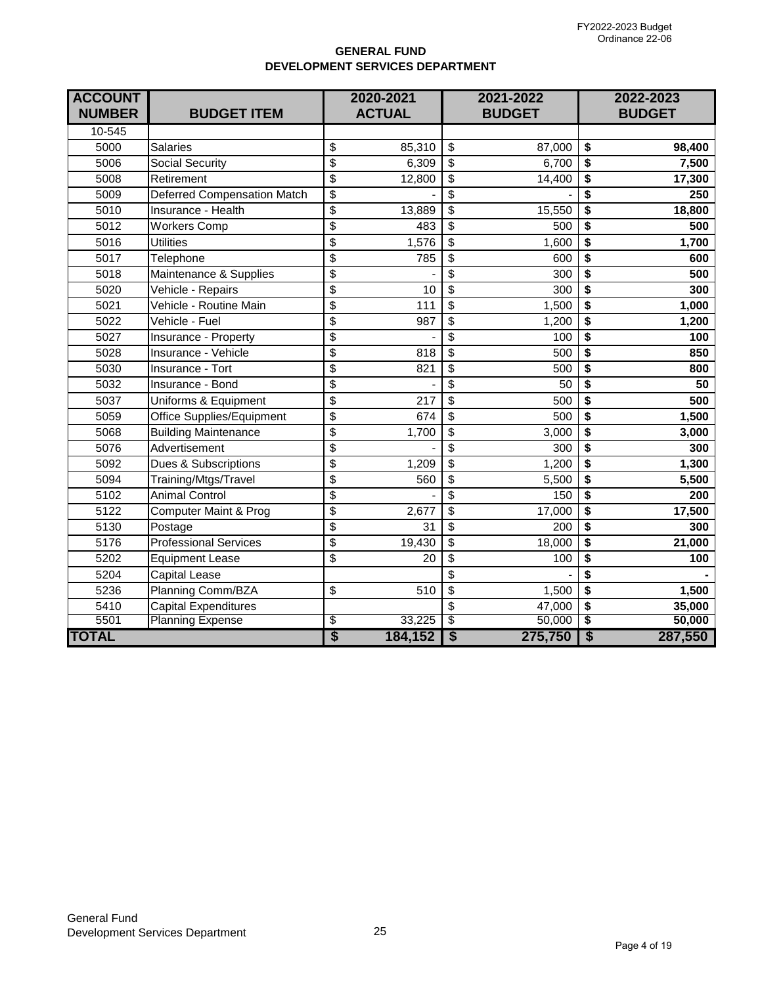### **GENERAL FUND DEVELOPMENT SERVICES DEPARTMENT**

| <b>ACCOUNT</b><br><b>NUMBER</b> | <b>BUDGET ITEM</b>                 | 2020-2021<br><b>ACTUAL</b> |         | 2021-2022<br><b>BUDGET</b> |         | 2022-2023<br><b>BUDGET</b>           |         |
|---------------------------------|------------------------------------|----------------------------|---------|----------------------------|---------|--------------------------------------|---------|
| 10-545                          |                                    |                            |         |                            |         |                                      |         |
| 5000                            | <b>Salaries</b>                    | \$                         | 85,310  | \$                         | 87,000  | \$                                   | 98,400  |
| 5006                            | Social Security                    | \$                         | 6,309   | \$                         | 6,700   | \$                                   | 7,500   |
| 5008                            | Retirement                         | \$                         | 12,800  | \$                         | 14,400  | \$                                   | 17,300  |
| 5009                            | <b>Deferred Compensation Match</b> | \$                         |         | $\overline{\mathbf{S}}$    |         | \$                                   | 250     |
| 5010                            | Insurance - Health                 | $\overline{\mathcal{S}}$   | 13,889  | $\overline{\mathbf{S}}$    | 15,550  | \$                                   | 18,800  |
| 5012                            | <b>Workers Comp</b>                | \$                         | 483     | \$                         | 500     | \$                                   | 500     |
| 5016                            | <b>Utilities</b>                   | \$                         | 1,576   | \$                         | 1,600   | \$                                   | 1,700   |
| 5017                            | Telephone                          | \$                         | 785     | $\overline{\mathbf{S}}$    | 600     | \$                                   | 600     |
| 5018                            | Maintenance & Supplies             | \$                         |         | \$                         | 300     | \$                                   | 500     |
| 5020                            | Vehicle - Repairs                  | \$                         | 10      | \$                         | 300     | \$                                   | 300     |
| 5021                            | Vehicle - Routine Main             | \$                         | 111     | \$                         | 1,500   | \$                                   | 1,000   |
| 5022                            | Vehicle - Fuel                     | \$                         | 987     | \$                         | 1,200   | \$                                   | 1,200   |
| 5027                            | Insurance - Property               | \$                         |         | \$                         | 100     | \$                                   | 100     |
| 5028                            | Insurance - Vehicle                | \$                         | 818     | \$                         | 500     | \$                                   | 850     |
| 5030                            | Insurance - Tort                   | $\overline{\$}$            | 821     | \$                         | 500     | \$                                   | 800     |
| 5032                            | Insurance - Bond                   | $\overline{\mathcal{S}}$   |         | $\overline{\$}$            | 50      | \$                                   | 50      |
| 5037                            | Uniforms & Equipment               | $\overline{\$}$            | 217     | $\overline{\$}$            | 500     | \$                                   | 500     |
| 5059                            | Office Supplies/Equipment          | $\overline{\mathcal{S}}$   | 674     | \$                         | 500     | \$                                   | 1,500   |
| 5068                            | <b>Building Maintenance</b>        | \$                         | 1,700   | \$                         | 3,000   | \$                                   | 3,000   |
| 5076                            | Advertisement                      | \$                         |         | $\overline{\mathcal{S}}$   | 300     | \$                                   | 300     |
| 5092                            | Dues & Subscriptions               | $\overline{\mathbf{S}}$    | 1,209   | $\overline{\mathbf{S}}$    | 1,200   | \$                                   | 1,300   |
| 5094                            | Training/Mtgs/Travel               | \$                         | 560     | $\overline{\mathbf{S}}$    | 5,500   | \$                                   | 5,500   |
| 5102                            | <b>Animal Control</b>              | \$                         |         | \$                         | 150     | \$                                   | 200     |
| 5122                            | Computer Maint & Prog              | $\overline{\mathbf{S}}$    | 2,677   | $\overline{\$}$            | 17,000  | \$                                   | 17,500  |
| 5130                            | Postage                            | $\overline{\mathbf{S}}$    | 31      | $\overline{\mathbf{S}}$    | 200     | \$                                   | 300     |
| 5176                            | <b>Professional Services</b>       | \$                         | 19,430  | \$                         | 18,000  | \$                                   | 21,000  |
| 5202                            | <b>Equipment Lease</b>             | $\overline{\mathcal{S}}$   | 20      | \$                         | 100     | \$                                   | 100     |
| 5204                            | <b>Capital Lease</b>               |                            |         | \$                         |         | \$                                   |         |
| 5236                            | Planning Comm/BZA                  | \$                         | 510     | $\overline{\$}$            | 1,500   | $\overline{\$}$                      | 1,500   |
| 5410                            | <b>Capital Expenditures</b>        |                            |         | $\overline{\mathcal{S}}$   | 47,000  | $\overline{\$}$                      | 35,000  |
| 5501                            | <b>Planning Expense</b>            | \$                         | 33,225  | \$                         | 50,000  | \$                                   | 50,000  |
| <b>TOTAL</b>                    |                                    | \$                         | 184,152 | $\overline{\mathbf{S}}$    | 275,750 | $\overline{\boldsymbol{\mathsf{S}}}$ | 287,550 |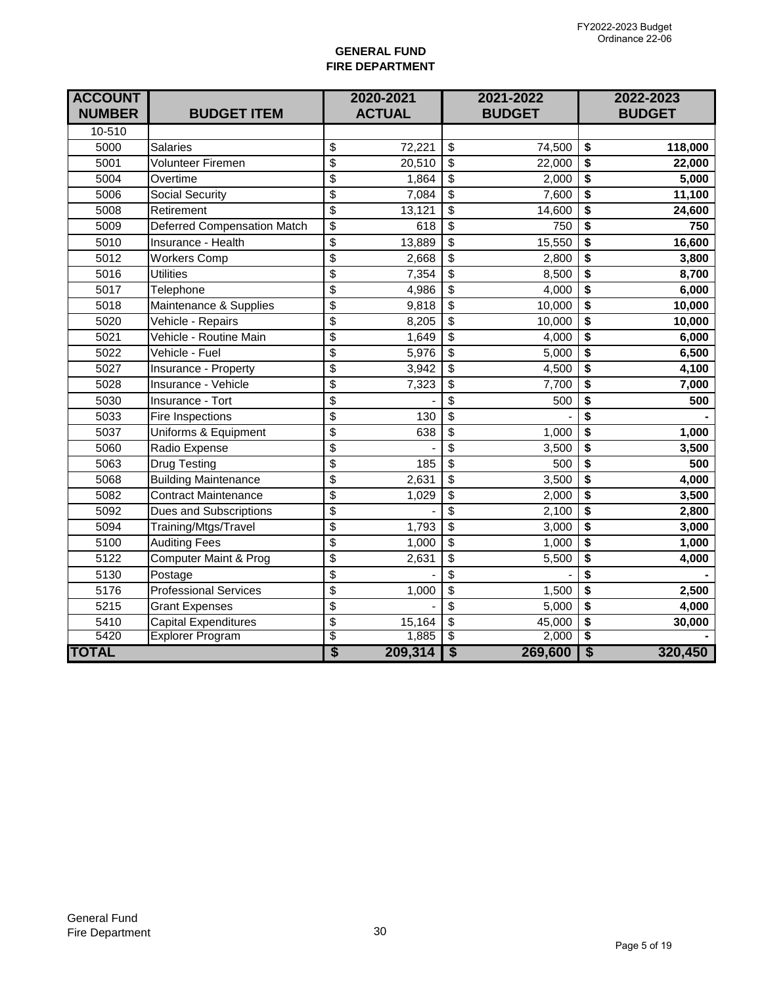### **GENERAL FUND FIRE DEPARTMENT**

| <b>ACCOUNT</b><br><b>NUMBER</b> | <b>BUDGET ITEM</b>                 | 2020-2021<br><b>ACTUAL</b> |         | 2021-2022<br><b>BUDGET</b>           |         |                                      | 2022-2023<br><b>BUDGET</b> |
|---------------------------------|------------------------------------|----------------------------|---------|--------------------------------------|---------|--------------------------------------|----------------------------|
| 10-510                          |                                    |                            |         |                                      |         |                                      |                            |
| 5000                            | <b>Salaries</b>                    | \$                         | 72,221  | \$                                   | 74,500  | \$                                   | 118,000                    |
| 5001                            | <b>Volunteer Firemen</b>           | \$                         | 20,510  | $\overline{\mathcal{S}}$             | 22,000  | $\overline{\$}$                      | 22,000                     |
| 5004                            | Overtime                           | \$                         | 1,864   | $\overline{\mathcal{S}}$             | 2,000   | $\overline{\boldsymbol{\epsilon}}$   | 5,000                      |
| 5006                            | <b>Social Security</b>             | \$                         | 7,084   | \$                                   | 7,600   | \$                                   | 11,100                     |
| 5008                            | Retirement                         | \$                         | 13,121  | \$                                   | 14,600  | \$                                   | 24,600                     |
| 5009                            | <b>Deferred Compensation Match</b> | \$                         | 618     | \$                                   | 750     | $\overline{\boldsymbol{\mathsf{s}}}$ | 750                        |
| 5010                            | Insurance - Health                 | $\overline{\mathfrak{s}}$  | 13,889  | \$                                   | 15,550  | $\overline{\boldsymbol{\mathsf{s}}}$ | 16,600                     |
| 5012                            | <b>Workers Comp</b>                | \$                         | 2,668   | \$                                   | 2,800   | \$                                   | 3,800                      |
| 5016                            | <b>Utilities</b>                   | \$                         | 7,354   | \$                                   | 8,500   | \$                                   | 8,700                      |
| 5017                            | Telephone                          | \$                         | 4,986   | \$                                   | 4,000   | $\overline{\mathbf{S}}$              | 6,000                      |
| 5018                            | Maintenance & Supplies             | \$                         | 9,818   | \$                                   | 10,000  | $\overline{\boldsymbol{\mathsf{s}}}$ | 10,000                     |
| 5020                            | Vehicle - Repairs                  | $\overline{\mathfrak{s}}$  | 8,205   | \$                                   | 10,000  | \$                                   | 10,000                     |
| 5021                            | Vehicle - Routine Main             | \$                         | 1,649   | \$                                   | 4,000   | $\overline{\boldsymbol{\mathsf{s}}}$ | 6,000                      |
| 5022                            | Vehicle - Fuel                     | $\overline{\mathfrak{s}}$  | 5,976   | \$                                   | 5,000   | $\overline{\boldsymbol{\mathsf{s}}}$ | 6,500                      |
| 5027                            | Insurance - Property               | \$                         | 3,942   | $\overline{\mathcal{S}}$             | 4,500   | $\overline{\boldsymbol{\epsilon}}$   | 4,100                      |
| 5028                            | Insurance - Vehicle                | \$                         | 7,323   | \$                                   | 7,700   | $\overline{\boldsymbol{\mathsf{s}}}$ | 7,000                      |
| 5030                            | Insurance - Tort                   | $\overline{\$}$            |         | $\overline{\$}$                      | 500     | $\overline{\$}$                      | 500                        |
| 5033                            | Fire Inspections                   | \$                         | 130     | $\overline{\$}$                      |         | $\overline{\$}$                      |                            |
| 5037                            | Uniforms & Equipment               | \$                         | 638     | $\overline{\mathbf{e}}$              | 1,000   | $\overline{\$}$                      | 1,000                      |
| 5060                            | Radio Expense                      | \$                         |         | \$                                   | 3,500   | \$                                   | 3,500                      |
| 5063                            | <b>Drug Testing</b>                | \$                         | 185     | \$                                   | 500     | \$                                   | 500                        |
| 5068                            | <b>Building Maintenance</b>        | \$                         | 2,631   | \$                                   | 3,500   | $\overline{\boldsymbol{\mathsf{s}}}$ | 4,000                      |
| 5082                            | <b>Contract Maintenance</b>        | $\overline{\mathfrak{s}}$  | 1,029   | $\overline{\mathbf{S}}$              | 2,000   | $\overline{\boldsymbol{\mathsf{s}}}$ | 3,500                      |
| 5092                            | <b>Dues and Subscriptions</b>      | \$                         |         | \$                                   | 2,100   | \$                                   | 2,800                      |
| 5094                            | Training/Mtgs/Travel               | $\overline{\mathfrak{s}}$  | 1,793   | \$                                   | 3,000   | $\overline{\boldsymbol{\mathsf{s}}}$ | 3,000                      |
| 5100                            | <b>Auditing Fees</b>               | \$                         | 1,000   | \$                                   | 1,000   | $\overline{\boldsymbol{\mathsf{s}}}$ | 1,000                      |
| 5122                            | <b>Computer Maint &amp; Prog</b>   | \$                         | 2,631   | $\overline{\mathcal{S}}$             | 5,500   | $\overline{\boldsymbol{\mathsf{s}}}$ | 4,000                      |
| 5130                            | Postage                            | \$                         |         | $\overline{\mathcal{S}}$             |         | \$                                   |                            |
| 5176                            | <b>Professional Services</b>       | \$                         | 1,000   | $\overline{\$}$                      | 1,500   | \$                                   | 2,500                      |
| 5215                            | <b>Grant Expenses</b>              | \$                         |         | \$                                   | 5,000   | $\overline{\boldsymbol{\epsilon}}$   | 4,000                      |
| 5410                            | <b>Capital Expenditures</b>        | \$                         | 15,164  | \$                                   | 45,000  | \$                                   | 30,000                     |
| 5420                            | <b>Explorer Program</b>            | \$                         | 1,885   | \$                                   | 2,000   | \$                                   |                            |
| <b>TOTAL</b>                    |                                    | \$                         | 209,314 | $\overline{\boldsymbol{\mathsf{S}}}$ | 269,600 | $\overline{\mathsf{s}}$              | 320,450                    |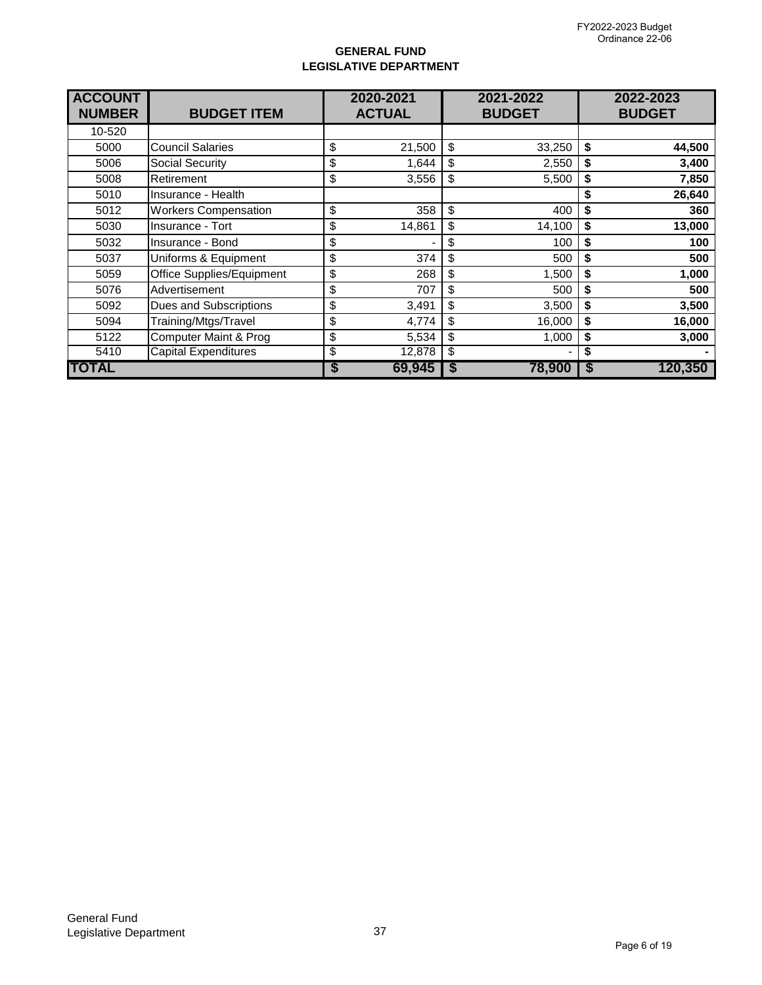### **GENERAL FUND LEGISLATIVE DEPARTMENT**

| <b>ACCOUNT</b><br><b>NUMBER</b> | <b>BUDGET ITEM</b>               | 2020-2021<br>2021-2022<br><b>ACTUAL</b><br><b>BUDGET</b> |        | 2022-2023<br><b>BUDGET</b> |        |              |
|---------------------------------|----------------------------------|----------------------------------------------------------|--------|----------------------------|--------|--------------|
| 10-520                          |                                  |                                                          |        |                            |        |              |
| 5000                            | <b>Council Salaries</b>          | \$                                                       | 21,500 | \$                         | 33,250 | \$<br>44,500 |
| 5006                            | Social Security                  | \$                                                       | 1,644  | \$                         | 2,550  | \$<br>3,400  |
| 5008                            | Retirement                       | \$                                                       | 3,556  | \$                         | 5,500  | \$<br>7,850  |
| 5010                            | Insurance - Health               |                                                          |        |                            |        | \$<br>26,640 |
| 5012                            | <b>Workers Compensation</b>      | \$                                                       | 358    | \$                         | 400    | \$<br>360    |
| 5030                            | Insurance - Tort                 | \$                                                       | 14,861 | \$                         | 14,100 | \$<br>13,000 |
| 5032                            | Insurance - Bond                 | \$                                                       |        | \$                         | 100    | \$<br>100    |
| 5037                            | Uniforms & Equipment             | \$                                                       | 374    | \$                         | 500    | \$<br>500    |
| 5059                            | Office Supplies/Equipment        | \$                                                       | 268    | \$                         | 1,500  | \$<br>1,000  |
| 5076                            | Advertisement                    | \$                                                       | 707    | \$                         | 500    | \$<br>500    |
| 5092                            | Dues and Subscriptions           | \$                                                       | 3,491  | \$                         | 3,500  | \$<br>3,500  |
| 5094                            | Training/Mtgs/Travel             | \$                                                       | 4,774  | \$                         | 16,000 | \$<br>16,000 |
| 5122                            | <b>Computer Maint &amp; Prog</b> | \$                                                       | 5,534  | \$                         | 1,000  | \$<br>3,000  |
| 5410                            | <b>Capital Expenditures</b>      | \$                                                       | 12,878 | \$                         |        | \$           |
| ITOTAL                          |                                  | S                                                        | 69,945 | S                          | 78,900 | 120,350      |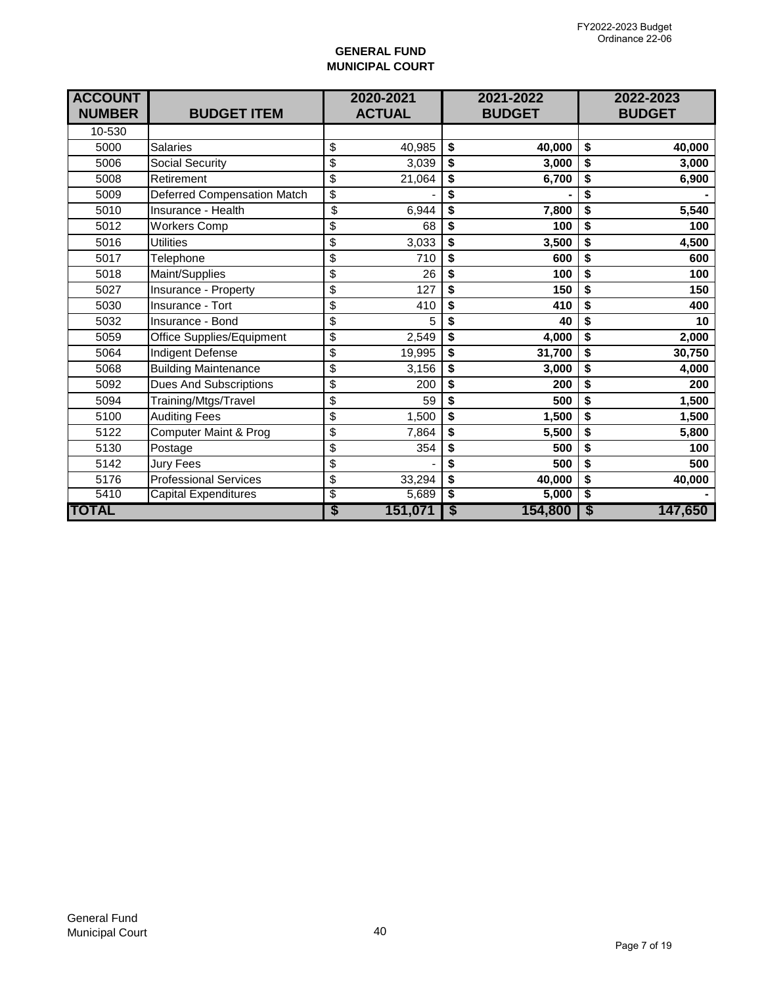## **GENERAL FUND MUNICIPAL COURT**

| <b>ACCOUNT</b><br><b>NUMBER</b> | <b>BUDGET ITEM</b>                 | 2020-2021<br><b>ACTUAL</b> |         |                             | 2021-2022<br><b>BUDGET</b> |                                      | 2022-2023<br><b>BUDGET</b> |  |
|---------------------------------|------------------------------------|----------------------------|---------|-----------------------------|----------------------------|--------------------------------------|----------------------------|--|
| 10-530                          |                                    |                            |         |                             |                            |                                      |                            |  |
| 5000                            | <b>Salaries</b>                    | \$                         | 40,985  | \$                          | 40,000                     | \$                                   | 40,000                     |  |
| 5006                            | Social Security                    | \$                         | 3,039   | \$                          | 3,000                      | \$                                   | 3,000                      |  |
| 5008                            | Retirement                         | \$                         | 21,064  | \$                          | 6,700                      | \$                                   | 6,900                      |  |
| 5009                            | <b>Deferred Compensation Match</b> | \$                         |         | \$                          |                            | \$                                   |                            |  |
| 5010                            | Insurance - Health                 | \$                         | 6,944   | \$                          | 7,800                      | \$                                   | 5,540                      |  |
| 5012                            | <b>Workers Comp</b>                | \$                         | 68      | \$                          | 100                        | \$                                   | 100                        |  |
| 5016                            | <b>Utilities</b>                   | \$                         | 3,033   | \$                          | 3,500                      | \$                                   | 4,500                      |  |
| 5017                            | Telephone                          | \$                         | 710     | \$                          | 600                        | \$                                   | 600                        |  |
| 5018                            | Maint/Supplies                     | \$                         | 26      | \$                          | 100                        | \$                                   | 100                        |  |
| 5027                            | Insurance - Property               | \$                         | 127     | \$                          | 150                        | \$                                   | 150                        |  |
| 5030                            | Insurance - Tort                   | \$                         | 410     | \$                          | 410                        | \$                                   | 400                        |  |
| 5032                            | Insurance - Bond                   | \$                         | 5       | \$                          | 40                         | \$                                   | 10                         |  |
| 5059                            | Office Supplies/Equipment          | \$                         | 2,549   | \$                          | 4,000                      | \$                                   | 2,000                      |  |
| 5064                            | Indigent Defense                   | \$                         | 19,995  | \$                          | 31,700                     | \$                                   | 30,750                     |  |
| 5068                            | <b>Building Maintenance</b>        | \$                         | 3,156   | \$                          | 3,000                      | \$                                   | 4,000                      |  |
| 5092                            | <b>Dues And Subscriptions</b>      | \$                         | 200     | \$                          | 200                        | \$                                   | 200                        |  |
| 5094                            | Training/Mtgs/Travel               | \$                         | 59      | \$                          | 500                        | \$                                   | 1,500                      |  |
| 5100                            | <b>Auditing Fees</b>               | \$                         | 1,500   | \$                          | 1,500                      | \$                                   | 1,500                      |  |
| 5122                            | Computer Maint & Prog              | \$                         | 7,864   | \$                          | 5,500                      | \$                                   | 5,800                      |  |
| 5130                            | Postage                            | \$                         | 354     | \$                          | 500                        | \$                                   | 100                        |  |
| 5142                            | <b>Jury Fees</b>                   | \$                         |         | \$                          | 500                        | \$                                   | 500                        |  |
| 5176                            | <b>Professional Services</b>       | \$                         | 33,294  | \$                          | 40,000                     | \$                                   | 40,000                     |  |
| 5410                            | <b>Capital Expenditures</b>        | \$                         | 5,689   | \$                          | 5,000                      | $\overline{\boldsymbol{\mathsf{s}}}$ |                            |  |
| <b>TOTAL</b>                    |                                    | \$                         | 151,071 | $\overline{\boldsymbol{s}}$ | 154,800                    | \$                                   | 147,650                    |  |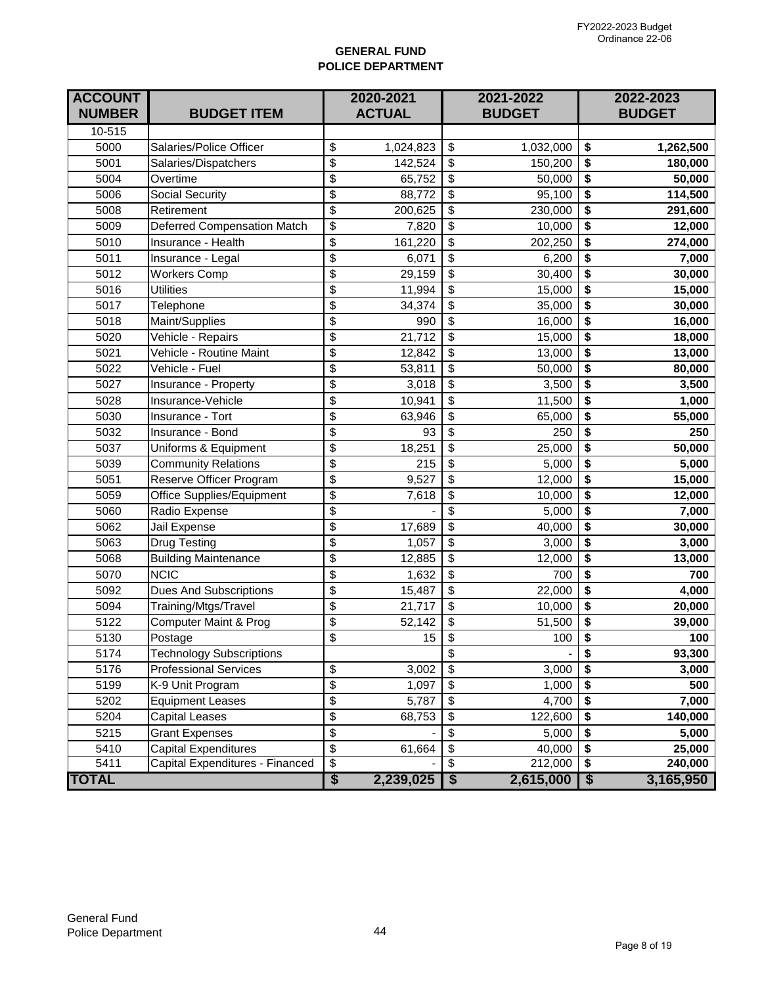### **GENERAL FUND POLICE DEPARTMENT**

| <b>ACCOUNT</b><br><b>NUMBER</b> | <b>BUDGET ITEM</b>              | 2020-2021<br><b>ACTUAL</b>           |           | 2021-2022<br><b>BUDGET</b>           |           | 2022-2023<br><b>BUDGET</b>         |           |
|---------------------------------|---------------------------------|--------------------------------------|-----------|--------------------------------------|-----------|------------------------------------|-----------|
| 10-515                          |                                 |                                      |           |                                      |           |                                    |           |
| 5000                            | Salaries/Police Officer         | \$                                   | 1,024,823 | \$                                   | 1,032,000 | \$                                 | 1,262,500 |
| 5001                            | Salaries/Dispatchers            | \$                                   | 142,524   | \$                                   | 150,200   | \$                                 | 180,000   |
| 5004                            | Overtime                        | \$                                   | 65,752    | \$                                   | 50,000    | \$                                 | 50,000    |
| 5006                            | <b>Social Security</b>          | \$                                   | 88,772    | \$                                   | 95,100    | \$                                 | 114,500   |
| 5008                            | Retirement                      | \$                                   | 200,625   | \$                                   | 230,000   | \$                                 | 291,600   |
| 5009                            | Deferred Compensation Match     | \$                                   | 7,820     | \$                                   | 10,000    | \$                                 | 12,000    |
| 5010                            | Insurance - Health              | \$                                   | 161,220   | \$                                   | 202,250   | \$                                 | 274,000   |
| 5011                            | Insurance - Legal               | \$                                   | 6,071     | $\overline{\mathbf{S}}$              | 6,200     | \$                                 | 7,000     |
| 5012                            | <b>Workers Comp</b>             | \$                                   | 29,159    | \$                                   | 30,400    | \$                                 | 30,000    |
| 5016                            | <b>Utilities</b>                | \$                                   | 11,994    | \$                                   | 15,000    | \$                                 | 15,000    |
| 5017                            | Telephone                       | \$                                   | 34,374    | \$                                   | 35,000    | \$                                 | 30,000    |
| 5018                            | Maint/Supplies                  | \$                                   | 990       | $\overline{\mathbf{S}}$              | 16,000    | \$                                 | 16,000    |
| 5020                            | Vehicle - Repairs               | \$                                   | 21,712    | \$                                   | 15,000    | \$                                 | 18,000    |
| 5021                            | Vehicle - Routine Maint         | \$                                   | 12,842    | \$                                   | 13,000    | \$                                 | 13,000    |
| 5022                            | Vehicle - Fuel                  | \$                                   | 53,811    | \$                                   | 50,000    | \$                                 | 80,000    |
| 5027                            | Insurance - Property            | $\overline{\mathcal{S}}$             | 3,018     | $\overline{\$}$                      | 3,500     | \$                                 | 3,500     |
| 5028                            | Insurance-Vehicle               | \$                                   | 10,941    | $\overline{\mathbf{e}}$              | 11,500    | \$                                 | 1,000     |
| 5030                            | Insurance - Tort                | \$                                   | 63,946    | \$                                   | 65,000    | \$                                 | 55,000    |
| 5032                            | Insurance - Bond                | \$                                   | 93        | \$                                   | 250       | \$                                 | 250       |
| 5037                            | Uniforms & Equipment            | \$                                   | 18,251    | \$                                   | 25,000    | \$                                 | 50,000    |
| 5039                            | <b>Community Relations</b>      | \$                                   | 215       | \$                                   | 5,000     | \$                                 | 5,000     |
| 5051                            | Reserve Officer Program         | \$                                   | 9,527     | \$                                   | 12,000    | \$                                 | 15,000    |
| 5059                            | Office Supplies/Equipment       | \$                                   | 7,618     | \$                                   | 10,000    | \$                                 | 12,000    |
| 5060                            | Radio Expense                   | \$                                   |           | $\overline{\mathcal{S}}$             | 5,000     | \$                                 | 7,000     |
| 5062                            | Jail Expense                    | \$                                   | 17,689    | $\overline{\mathbf{S}}$              | 40,000    | \$                                 | 30,000    |
| 5063                            | Drug Testing                    | \$                                   | 1,057     | \$                                   | 3,000     | \$                                 | 3,000     |
| 5068                            | <b>Building Maintenance</b>     | \$                                   | 12,885    | \$                                   | 12,000    | \$                                 | 13,000    |
| 5070                            | <b>NCIC</b>                     | \$                                   | 1,632     | \$                                   | 700       | \$                                 | 700       |
| 5092                            | <b>Dues And Subscriptions</b>   | \$                                   | 15,487    | $\overline{\mathcal{E}}$             | 22,000    | $\overline{\$}$                    | 4,000     |
| 5094                            | Training/Mtgs/Travel            | \$                                   | 21,717    | $\overline{\mathcal{S}}$             | 10,000    | \$                                 | 20,000    |
| 5122                            | Computer Maint & Prog           | \$                                   | 52,142    | \$                                   | 51,500    | \$                                 | 39,000    |
| 5130                            | Postage                         | \$                                   | 15        | $\overline{\boldsymbol{\mathsf{s}}}$ | 100       | $\overline{\boldsymbol{\epsilon}}$ | 100       |
| 5174                            | <b>Technology Subscriptions</b> |                                      |           | \$                                   |           | \$                                 | 93,300    |
| 5176                            | <b>Professional Services</b>    | \$                                   | 3,002     | $\overline{\mathcal{S}}$             | 3,000     | \$                                 | 3,000     |
| 5199                            | K-9 Unit Program                | \$                                   | 1,097     | \$                                   | 1,000     | \$                                 | 500       |
| 5202                            | <b>Equipment Leases</b>         | \$                                   | 5,787     | \$                                   | 4,700     | \$                                 | 7,000     |
| 5204                            | Capital Leases                  | \$                                   | 68,753    | \$                                   | 122,600   | \$                                 | 140,000   |
| 5215                            | <b>Grant Expenses</b>           | \$                                   |           | $\overline{\mathbf{S}}$              | 5,000     | \$                                 | 5,000     |
| 5410                            | Capital Expenditures            | \$                                   | 61,664    | \$                                   | 40,000    | \$                                 | 25,000    |
| 5411                            | Capital Expenditures - Financed | \$                                   |           | $\overline{\$}$                      | 212,000   | \$                                 | 240,000   |
| <b>TOTAL</b>                    |                                 | $\overline{\boldsymbol{\mathsf{S}}}$ | 2,239,025 | $\overline{\boldsymbol{\mathsf{s}}}$ | 2,615,000 | \$                                 | 3,165,950 |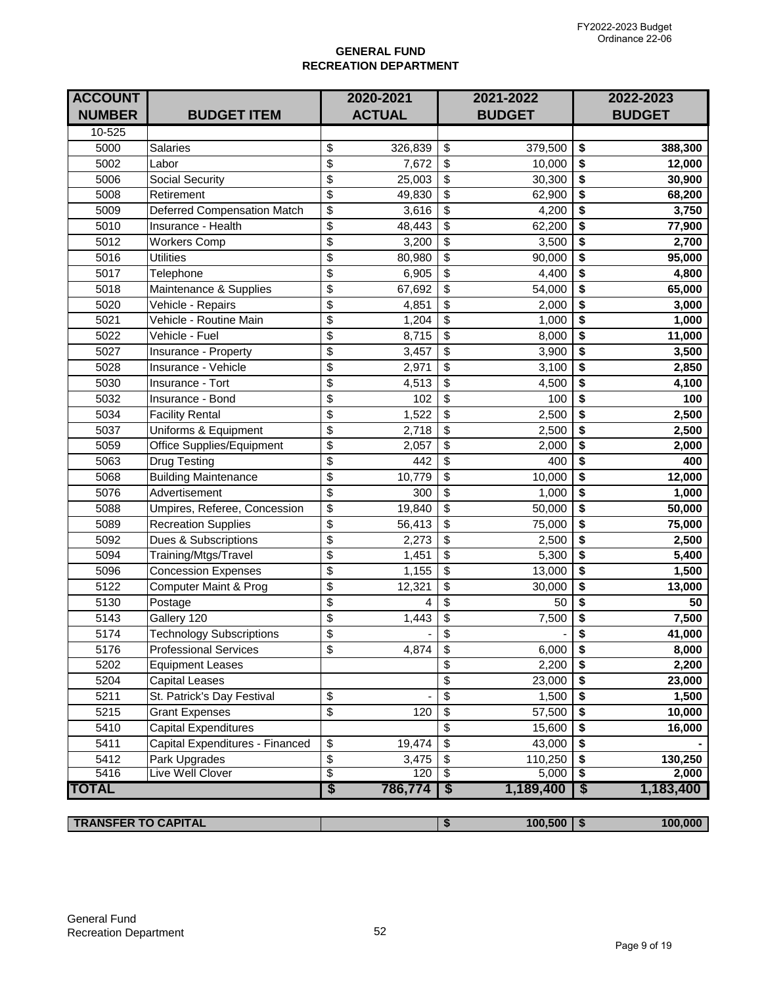## **GENERAL FUND RECREATION DEPARTMENT**

| <b>ACCOUNT</b><br><b>NUMBER</b> | <b>BUDGET ITEM</b>                 |                                      | 2020-2021<br><b>ACTUAL</b> |                                        | 2021-2022<br><b>BUDGET</b> |                                      | 2022-2023<br><b>BUDGET</b> |
|---------------------------------|------------------------------------|--------------------------------------|----------------------------|----------------------------------------|----------------------------|--------------------------------------|----------------------------|
| 10-525                          |                                    |                                      |                            |                                        |                            |                                      |                            |
| 5000                            | <b>Salaries</b>                    | \$                                   | 326,839                    | \$                                     | 379,500                    | \$                                   | 388,300                    |
| 5002                            | Labor                              | $\overline{\boldsymbol{\theta}}$     | 7,672                      | \$                                     | 10,000                     | \$                                   | 12,000                     |
| 5006                            | Social Security                    | \$                                   | 25,003                     | \$                                     | 30,300                     | \$                                   | 30,900                     |
| 5008                            | Retirement                         | \$                                   | 49,830                     | \$                                     | 62,900                     | \$                                   | 68,200                     |
| 5009                            | <b>Deferred Compensation Match</b> | $\overline{\mathcal{S}}$             | 3,616                      | \$                                     | 4,200                      | \$                                   | 3,750                      |
| 5010                            | Insurance - Health                 | $\overline{\mathbf{e}}$              | 48,443                     | $\overline{\mathcal{S}}$               | 62,200                     | \$                                   | 77,900                     |
| 5012                            | <b>Workers Comp</b>                | $\overline{\$}$                      | 3,200                      | $\overline{\$}$                        | 3,500                      | \$                                   | 2,700                      |
| 5016                            | <b>Utilities</b>                   | $\overline{\mathbf{e}}$              | 80,980                     | \$                                     | 90,000                     | \$                                   | 95,000                     |
| 5017                            | Telephone                          | \$                                   | 6,905                      | \$                                     | 4,400                      | \$                                   | 4,800                      |
| 5018                            | Maintenance & Supplies             | $\overline{\mathcal{S}}$             | 67,692                     | \$                                     | 54,000                     | \$                                   | 65,000                     |
| 5020                            | Vehicle - Repairs                  | \$                                   | 4,851                      | \$                                     | 2,000                      | \$                                   | 3,000                      |
| 5021                            | Vehicle - Routine Main             | $\overline{\mathcal{S}}$             | 1,204                      | $\overline{\boldsymbol{\theta}}$       | 1,000                      | \$                                   | 1,000                      |
| 5022                            | Vehicle - Fuel                     | \$                                   | 8,715                      | \$                                     | 8,000                      | \$                                   | 11,000                     |
| 5027                            | Insurance - Property               | \$                                   | 3,457                      | \$                                     | 3,900                      | \$                                   | 3,500                      |
| 5028                            | Insurance - Vehicle                | $\overline{\mathcal{S}}$             | 2,971                      | \$                                     | 3,100                      | \$                                   | 2,850                      |
| 5030                            | Insurance - Tort                   | \$                                   | 4,513                      | $\overline{\mathbb{S}}$                | 4,500                      | \$                                   | 4,100                      |
| 5032                            | Insurance - Bond                   | $\overline{\boldsymbol{\theta}}$     | 102                        | $\overline{\$}$                        | 100                        | \$                                   | 100                        |
| 5034                            | <b>Facility Rental</b>             | $\overline{\mathbf{e}}$              | 1,522                      | \$                                     | 2,500                      | \$                                   | 2,500                      |
| 5037                            | Uniforms & Equipment               | \$                                   | 2,718                      | \$                                     | 2,500                      | \$                                   | 2,500                      |
| 5059                            | Office Supplies/Equipment          | $\overline{\boldsymbol{\theta}}$     | 2,057                      | \$                                     | 2,000                      | \$                                   | 2,000                      |
| 5063                            | <b>Drug Testing</b>                | \$                                   | 442                        | \$                                     | 400                        | \$                                   | 400                        |
| 5068                            | <b>Building Maintenance</b>        | $\overline{\boldsymbol{\theta}}$     | 10,779                     | \$                                     | 10,000                     | \$                                   | 12,000                     |
| 5076                            | Advertisement                      | \$                                   | 300                        | \$                                     | 1,000                      | \$                                   | 1,000                      |
| 5088                            | Umpires, Referee, Concession       | \$                                   | 19,840                     | \$                                     | 50,000                     | \$                                   | 50,000                     |
| 5089                            | <b>Recreation Supplies</b>         | $\overline{\mathcal{S}}$             | 56,413                     | \$                                     | 75,000                     | \$                                   | 75,000                     |
| 5092                            | Dues & Subscriptions               | \$                                   | 2,273                      | \$                                     | 2,500                      | \$                                   | 2,500                      |
| 5094                            | Training/Mtgs/Travel               | $\overline{\mathcal{S}}$             | 1,451                      | $\overline{\mathbf{S}}$                | 5,300                      | \$                                   | 5,400                      |
| 5096                            | Concession Expenses                | $\overline{\$}$                      | 1,155                      | $\overline{\boldsymbol{\theta}}$       | 13,000                     | \$                                   | 1,500                      |
| 5122                            | Computer Maint & Prog              | \$                                   | 12,321                     | \$                                     | 30,000                     | \$                                   | 13,000                     |
| 5130                            | Postage                            | $\overline{\boldsymbol{\theta}}$     | 4                          | \$                                     | 50                         | \$                                   | 50                         |
| 5143                            | Gallery 120                        | $\overline{\mathbf{e}}$              | 1,443                      | \$                                     | 7,500                      | \$                                   | 7,500                      |
| 5174                            | <b>Technology Subscriptions</b>    | $\overline{\$}$                      |                            | $\overline{\mathbf{S}}$                |                            | \$                                   | 41,000                     |
| $\overline{5176}$               | <b>Professional Services</b>       | \$                                   | 4,874                      | $\overline{\boldsymbol{\mathfrak{s}}}$ | 6,000                      | $\overline{\boldsymbol{\mathsf{s}}}$ | 8,000                      |
| 5202                            | <b>Equipment Leases</b>            |                                      |                            | \$                                     | 2,200                      | \$                                   | 2,200                      |
| 5204                            | Capital Leases                     |                                      |                            | \$                                     | 23,000                     | \$                                   | 23,000                     |
| 5211                            | St. Patrick's Day Festival         | $\boldsymbol{\mathsf{S}}$            |                            | $\overline{\mathcal{S}}$               | 1,500                      | \$                                   | 1,500                      |
| 5215                            | <b>Grant Expenses</b>              | $\overline{\$}$                      | 120                        | $\overline{\mathbf{S}}$                | 57,500                     | \$                                   | 10,000                     |
| 5410                            | Capital Expenditures               |                                      |                            | $\overline{\mathcal{S}}$               | 15,600                     | \$                                   | 16,000                     |
| 5411                            | Capital Expenditures - Financed    | \$                                   | 19,474                     | $\boldsymbol{\mathsf{S}}$              | 43,000                     | \$                                   |                            |
| 5412                            | Park Upgrades                      | \$                                   | 3,475                      | \$                                     | 110,250                    | \$                                   | 130,250                    |
| 5416                            | Live Well Clover                   | \$                                   | 120                        | \$                                     | 5,000                      | \$                                   | 2,000                      |
| <b>TOTAL</b>                    |                                    | $\overline{\boldsymbol{\mathsf{s}}}$ | 786,774                    | $\overline{\mathsf{s}}$                | 1,189,400                  | $\overline{\$}$                      | 1,183,400                  |
|                                 |                                    |                                      |                            |                                        |                            |                                      |                            |
| <b>TRANSFER TO CAPITAL</b>      |                                    |                                      |                            | $\bullet$                              | $100,500$   \$             |                                      | 100,000                    |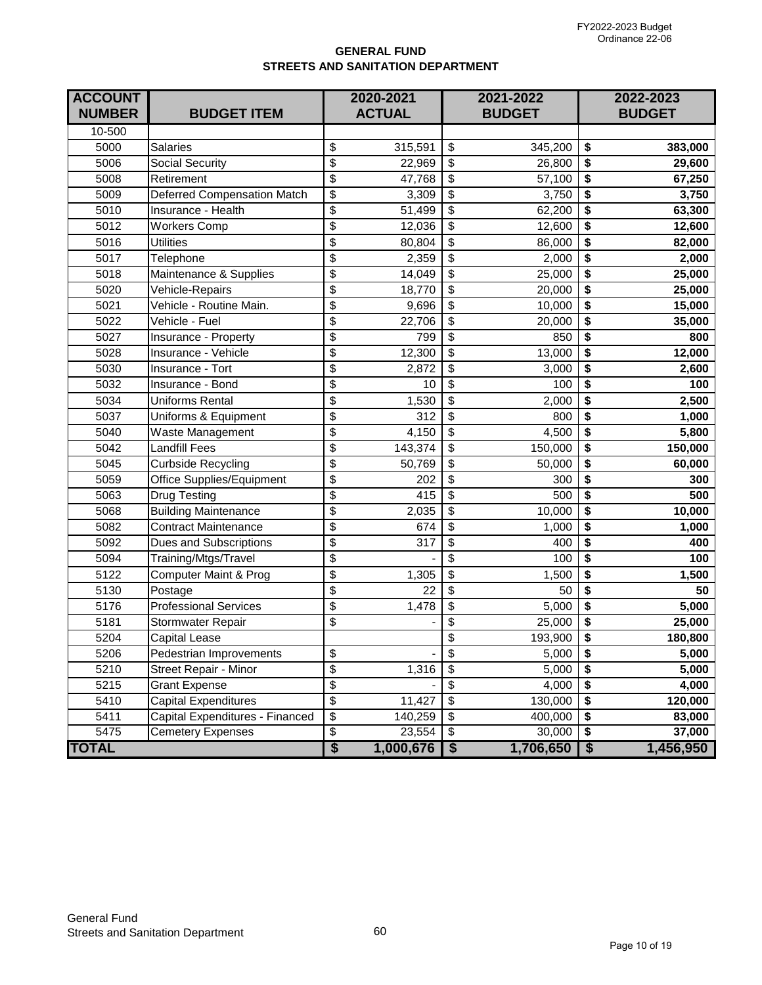### **GENERAL FUND STREETS AND SANITATION DEPARTMENT**

| <b>ACCOUNT</b><br><b>NUMBER</b> | <b>BUDGET ITEM</b>               | 2020-2021<br><b>ACTUAL</b>           |           | 2021-2022<br><b>BUDGET</b>           |           | 2022-2023<br><b>BUDGET</b>           |           |
|---------------------------------|----------------------------------|--------------------------------------|-----------|--------------------------------------|-----------|--------------------------------------|-----------|
| 10-500                          |                                  |                                      |           |                                      |           |                                      |           |
| 5000                            | <b>Salaries</b>                  | \$                                   | 315,591   | \$                                   | 345,200   | \$                                   | 383,000   |
| 5006                            | Social Security                  | \$                                   | 22,969    | \$                                   | 26,800    | \$                                   | 29,600    |
| 5008                            | Retirement                       | \$                                   | 47,768    | \$                                   | 57,100    | \$                                   | 67,250    |
| 5009                            | Deferred Compensation Match      | $\overline{\mathcal{S}}$             | 3,309     | $\overline{\mathcal{E}}$             | 3,750     | \$                                   | 3,750     |
| 5010                            | Insurance - Health               | \$                                   | 51,499    | $\overline{\mathcal{E}}$             | 62,200    | \$                                   | 63,300    |
| 5012                            | <b>Workers Comp</b>              | \$                                   | 12,036    | \$                                   | 12,600    | \$                                   | 12,600    |
| 5016                            | <b>Utilities</b>                 | \$                                   | 80,804    | \$                                   | 86,000    | \$                                   | 82,000    |
| 5017                            | Telephone                        | \$                                   | 2,359     | $\overline{\mathbf{S}}$              | 2,000     | \$                                   | 2,000     |
| 5018                            | Maintenance & Supplies           | \$                                   | 14,049    | \$                                   | 25,000    | \$                                   | 25,000    |
| 5020                            | Vehicle-Repairs                  | \$                                   | 18,770    | \$                                   | 20,000    | \$                                   | 25,000    |
| 5021                            | Vehicle - Routine Main.          | \$                                   | 9,696     | \$                                   | 10,000    | \$                                   | 15,000    |
| 5022                            | Vehicle - Fuel                   | \$                                   | 22,706    | $\overline{\mathcal{S}}$             | 20,000    | \$                                   | 35,000    |
| 5027                            | Insurance - Property             | \$                                   | 799       | \$                                   | 850       | \$                                   | 800       |
| 5028                            | Insurance - Vehicle              | \$                                   | 12,300    | \$                                   | 13,000    | \$                                   | 12,000    |
| 5030                            | Insurance - Tort                 | \$                                   | 2,872     | \$                                   | 3,000     | \$                                   | 2,600     |
| 5032                            | Insurance - Bond                 | \$                                   | 10        | $\overline{\mathbf{S}}$              | 100       | \$                                   | 100       |
| 5034                            | <b>Uniforms Rental</b>           | $\overline{\mathcal{S}}$             | 1,530     | \$                                   | 2,000     | \$                                   | 2,500     |
| 5037                            | Uniforms & Equipment             | \$                                   | 312       | \$                                   | 800       | \$                                   | 1,000     |
| 5040                            | Waste Management                 | \$                                   | 4,150     | \$                                   | 4,500     | \$                                   | 5,800     |
| 5042                            | <b>Landfill Fees</b>             | \$                                   | 143,374   | \$                                   | 150,000   | \$                                   | 150,000   |
| 5045                            | Curbside Recycling               | \$                                   | 50,769    | \$                                   | 50,000    | \$                                   | 60,000    |
| 5059                            | Office Supplies/Equipment        | \$                                   | 202       | \$                                   | 300       | \$                                   | 300       |
| 5063                            | <b>Drug Testing</b>              | \$                                   | 415       | \$                                   | 500       | \$                                   | 500       |
| 5068                            | <b>Building Maintenance</b>      | $\overline{\mathcal{S}}$             | 2,035     | $\overline{\mathbf{S}}$              | 10,000    | \$                                   | 10,000    |
| 5082                            | <b>Contract Maintenance</b>      | \$                                   | 674       | $\overline{\mathbf{S}}$              | 1,000     | \$                                   | 1,000     |
| 5092                            | Dues and Subscriptions           | \$                                   | 317       | \$                                   | 400       | \$                                   | 400       |
| 5094                            | Training/Mtgs/Travel             | \$                                   |           | \$                                   | 100       | \$                                   | 100       |
| 5122                            | <b>Computer Maint &amp; Prog</b> | \$                                   | 1,305     | $\overline{\mathcal{E}}$             | 1,500     | \$                                   | 1,500     |
| 5130                            | Postage                          | $\overline{\mathcal{S}}$             | 22        | $\overline{\mathcal{E}}$             | 50        | \$                                   | 50        |
| 5176                            | <b>Professional Services</b>     | \$                                   | 1,478     | $\overline{\mathbf{S}}$              | 5,000     | \$                                   | 5,000     |
| 5181                            | Stormwater Repair                | \$                                   |           | \$                                   | 25,000    | \$                                   | 25,000    |
| 5204                            | <b>Capital Lease</b>             |                                      |           | $\overline{\$}$                      | 193,900   | $\overline{\$}$                      | 180,800   |
| 5206                            | Pedestrian Improvements          | \$                                   |           | \$                                   | 5,000     | \$                                   | 5,000     |
| 5210                            | <b>Street Repair - Minor</b>     | \$                                   | 1,316     | \$                                   | 5,000     | \$                                   | 5,000     |
| 5215                            | <b>Grant Expense</b>             | \$                                   |           | \$                                   | 4,000     | \$                                   | 4,000     |
| 5410                            | Capital Expenditures             | \$                                   | 11,427    | \$                                   | 130,000   | \$                                   | 120,000   |
| 5411                            | Capital Expenditures - Financed  | \$                                   | 140,259   | \$                                   | 400,000   | \$                                   | 83,000    |
| 5475                            | <b>Cemetery Expenses</b>         | \$                                   | 23,554    | $\overline{\$}$                      | 30,000    | $\overline{\boldsymbol{\mathsf{s}}}$ | 37,000    |
| <b>TOTAL</b>                    |                                  | $\overline{\boldsymbol{\mathsf{S}}}$ | 1,000,676 | $\overline{\boldsymbol{\mathsf{s}}}$ | 1,706,650 | $\overline{\boldsymbol{\mathsf{S}}}$ | 1,456,950 |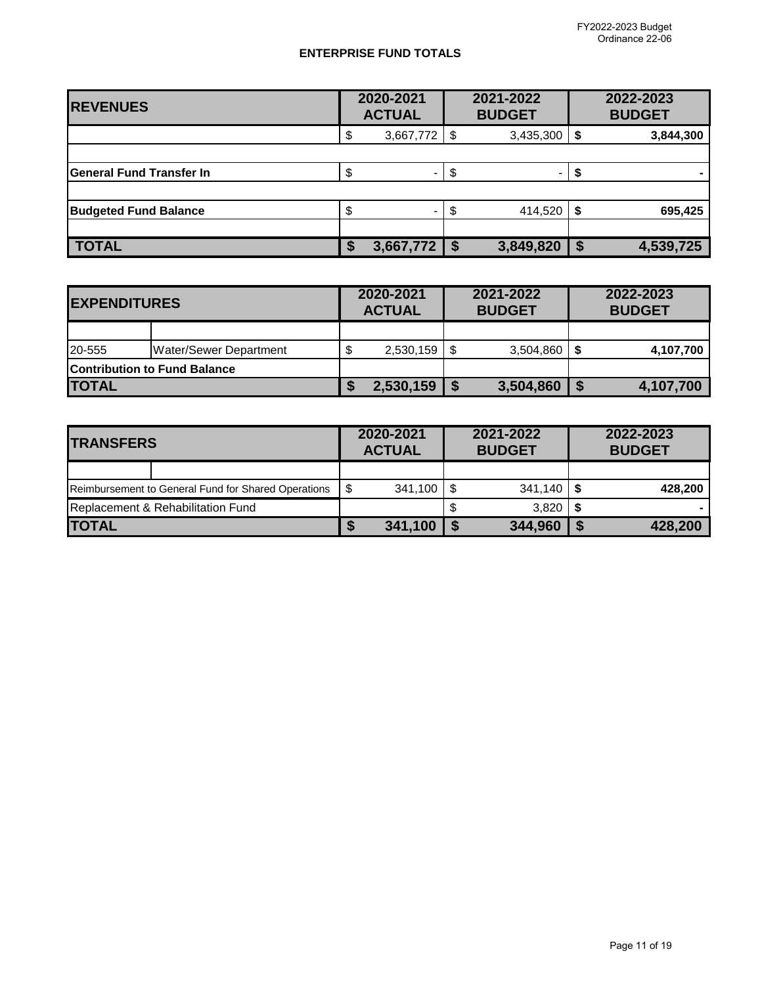#### **ENTERPRISE FUND TOTALS**

| <b>REVENUES</b>                 | 2020-2021<br><b>ACTUAL</b> |                 | 2021-2022<br><b>BUDGET</b> |           |    | 2022-2023<br><b>BUDGET</b> |
|---------------------------------|----------------------------|-----------------|----------------------------|-----------|----|----------------------------|
|                                 | \$                         | $3,667,772$ \\$ |                            | 3,435,300 | S  | 3,844,300                  |
|                                 |                            |                 |                            |           |    |                            |
| <b>General Fund Transfer In</b> | S                          |                 | S                          | -         |    |                            |
|                                 |                            |                 |                            |           |    |                            |
| <b>Budgeted Fund Balance</b>    | \$                         |                 | \$                         | 414,520   | S  | 695,425                    |
|                                 |                            |                 |                            |           |    |                            |
| <b>TOTAL</b>                    |                            | 3,667,772       |                            | 3,849,820 | -S | 4,539,725                  |

| <b>IEXPENDITURES</b> |                                     | 2020-2021<br><b>ACTUAL</b> |  | 2021-2022<br><b>BUDGET</b> |  | 2022-2023<br><b>BUDGET</b> |
|----------------------|-------------------------------------|----------------------------|--|----------------------------|--|----------------------------|
|                      |                                     |                            |  |                            |  |                            |
| 20-555               | Water/Sewer Department              | 2,530,159                  |  | 3,504,860                  |  | 4,107,700                  |
|                      | <b>Contribution to Fund Balance</b> |                            |  |                            |  |                            |
| <b>TOTAL</b>         |                                     | 2,530,159                  |  | 3,504,860                  |  | 4,107,700                  |

| <b>ITRANSFERS</b> |                                                     | 2020-2021<br><b>ACTUAL</b> |         | 2021-2022<br><b>BUDGET</b> |           | 2022-2023<br><b>BUDGET</b> |
|-------------------|-----------------------------------------------------|----------------------------|---------|----------------------------|-----------|----------------------------|
|                   |                                                     |                            |         |                            |           |                            |
|                   | Reimbursement to General Fund for Shared Operations |                            | 341.100 |                            | $341,140$ | 428,200                    |
|                   | Replacement & Rehabilitation Fund                   |                            |         |                            | 3.820     |                            |
| <b>ITOTAL</b>     |                                                     |                            | 341,100 |                            | 344,960   | 428,200                    |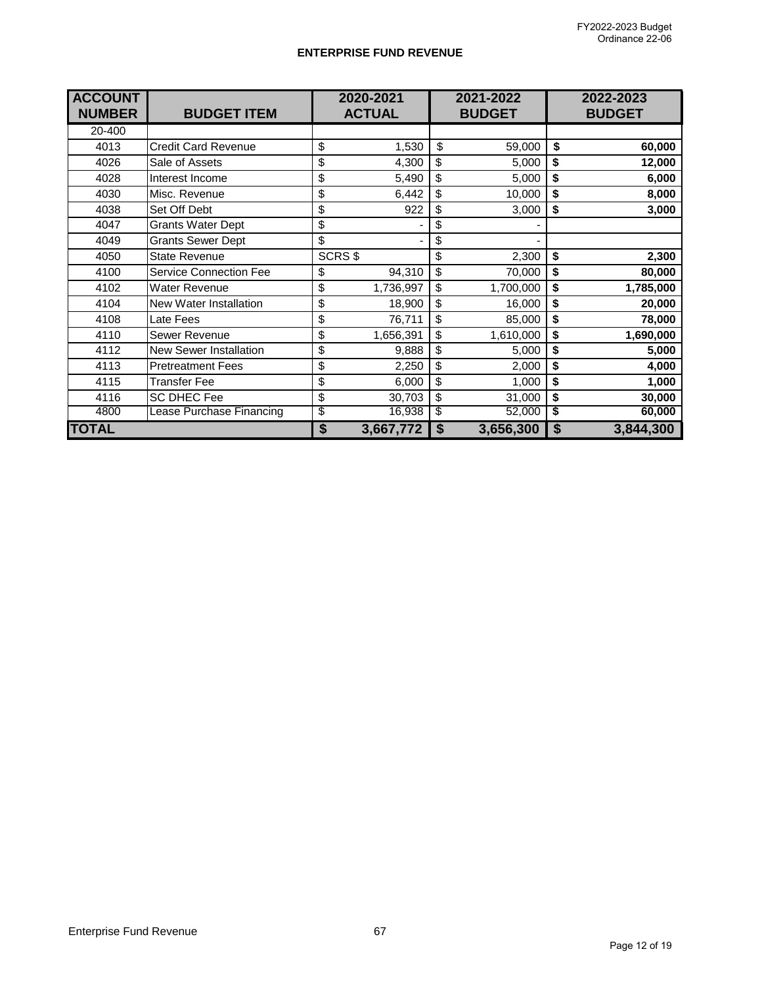#### **ENTERPRISE FUND REVENUE**

| <b>ACCOUNT</b><br><b>NUMBER</b> | <b>BUDGET ITEM</b>            |                                      | 2020-2021<br><b>ACTUAL</b> |                  | 2021-2022<br><b>BUDGET</b> |                                      | 2022-2023<br><b>BUDGET</b> |
|---------------------------------|-------------------------------|--------------------------------------|----------------------------|------------------|----------------------------|--------------------------------------|----------------------------|
| 20-400                          |                               |                                      |                            |                  |                            |                                      |                            |
| 4013                            | <b>Credit Card Revenue</b>    | \$                                   | 1,530                      | \$               | 59,000                     | \$                                   | 60,000                     |
| 4026                            | Sale of Assets                | \$                                   | 4,300                      | \$               | 5,000                      | \$                                   | 12,000                     |
| 4028                            | Interest Income               | \$                                   | 5,490                      | \$               | 5,000                      | \$                                   | 6,000                      |
| 4030                            | Misc. Revenue                 | \$                                   | 6,442                      | \$               | 10,000                     | \$                                   | 8,000                      |
| 4038                            | Set Off Debt                  | \$                                   | 922                        | \$               | 3,000                      | \$                                   | 3,000                      |
| 4047                            | <b>Grants Water Dept</b>      | \$                                   |                            | \$               |                            |                                      |                            |
| 4049                            | <b>Grants Sewer Dept</b>      | \$                                   |                            | \$               |                            |                                      |                            |
| 4050                            | <b>State Revenue</b>          |                                      | SCRS\$                     | \$               | 2,300                      | \$                                   | 2,300                      |
| 4100                            | <b>Service Connection Fee</b> | \$                                   | 94,310                     | \$               | 70,000                     | \$                                   | 80,000                     |
| 4102                            | <b>Water Revenue</b>          | \$                                   | 1,736,997                  | \$               | 1,700,000                  | \$                                   | 1,785,000                  |
| 4104                            | <b>New Water Installation</b> | \$                                   | 18,900                     | \$               | 16,000                     | \$                                   | 20,000                     |
| 4108                            | Late Fees                     | \$                                   | 76,711                     | \$               | 85,000                     | \$                                   | 78,000                     |
| 4110                            | Sewer Revenue                 | \$                                   | 1,656,391                  | \$               | 1,610,000                  | \$                                   | 1,690,000                  |
| 4112                            | <b>New Sewer Installation</b> | \$                                   | 9,888                      | \$               | 5,000                      | \$                                   | 5,000                      |
| 4113                            | <b>Pretreatment Fees</b>      | \$                                   | 2,250                      | \$               | 2,000                      | \$                                   | 4,000                      |
| 4115                            | Transfer Fee                  | \$                                   | 6,000                      | \$               | 1,000                      | \$                                   | 1,000                      |
| 4116                            | <b>SC DHEC Fee</b>            | \$                                   | 30,703                     | \$               | 31,000                     | \$                                   | 30,000                     |
| 4800                            | Lease Purchase Financing      | \$                                   | 16,938                     | \$               | 52,000                     | \$                                   | 60,000                     |
| <b>TOTAL</b>                    |                               | $\overline{\boldsymbol{\mathsf{s}}}$ | 3,667,772                  | $\boldsymbol{s}$ | 3,656,300                  | $\overline{\boldsymbol{\mathsf{s}}}$ | 3,844,300                  |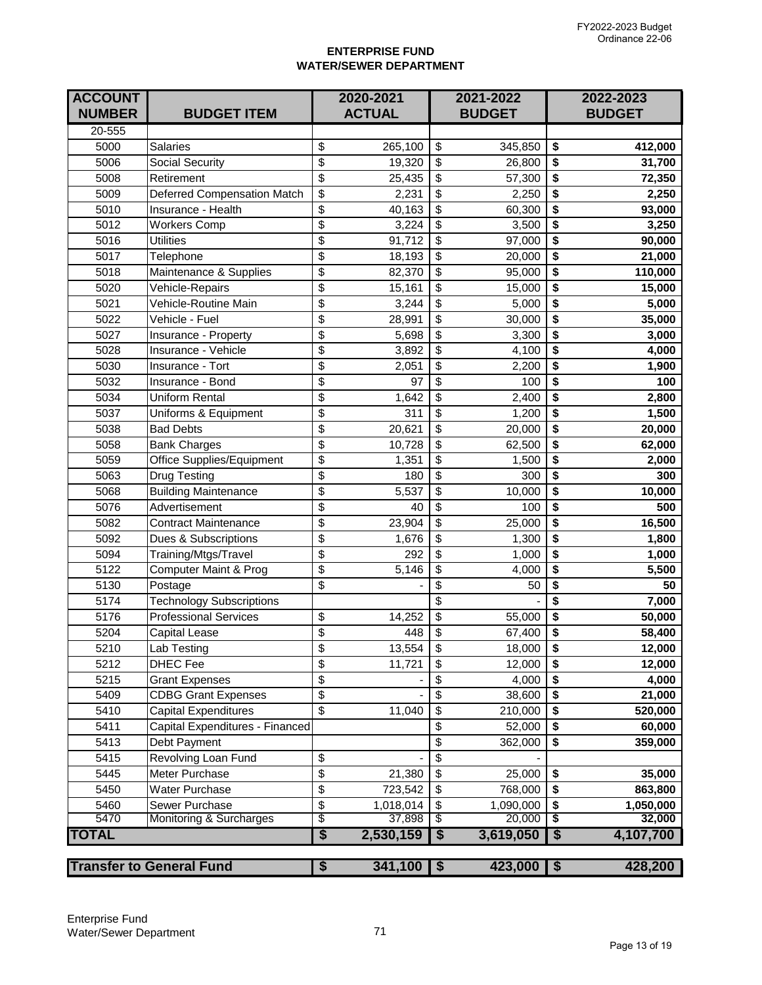### **ENTERPRISE FUND WATER/SEWER DEPARTMENT**

| <b>ACCOUNT</b><br><b>NUMBER</b> | <b>BUDGET ITEM</b>              |                          | 2020-2021<br><b>ACTUAL</b> |                          | 2021-2022<br><b>BUDGET</b> |                                      | 2022-2023<br><b>BUDGET</b> |
|---------------------------------|---------------------------------|--------------------------|----------------------------|--------------------------|----------------------------|--------------------------------------|----------------------------|
| 20-555                          |                                 |                          |                            |                          |                            |                                      |                            |
| 5000                            | <b>Salaries</b>                 | \$                       | 265,100                    | \$                       | 345,850                    | \$                                   | 412,000                    |
| 5006                            | <b>Social Security</b>          | \$                       | 19,320                     | \$                       | 26,800                     | \$                                   | 31,700                     |
| 5008                            | Retirement                      | \$                       | 25,435                     | \$                       | 57,300                     | \$                                   | 72,350                     |
| 5009                            | Deferred Compensation Match     | \$                       | 2,231                      | \$                       | 2,250                      | \$                                   | 2,250                      |
| 5010                            | Insurance - Health              | \$                       | 40,163                     | \$                       | 60,300                     | \$                                   | 93,000                     |
| 5012                            | <b>Workers Comp</b>             | \$                       | 3,224                      | \$                       | 3,500                      | \$                                   | 3,250                      |
| 5016                            | <b>Utilities</b>                | \$                       | 91,712                     | $\overline{\mathcal{S}}$ | 97,000                     | \$                                   | 90,000                     |
| 5017                            | Telephone                       | $\overline{\$}$          | 18,193                     | $\overline{\$}$          | 20,000                     | \$                                   | 21,000                     |
| 5018                            | Maintenance & Supplies          | \$                       | 82,370                     | \$                       | 95,000                     | \$                                   | 110,000                    |
| 5020                            | Vehicle-Repairs                 | \$                       | 15,161                     | \$                       | 15,000                     | \$                                   | 15,000                     |
| 5021                            | Vehicle-Routine Main            | \$                       | 3,244                      | \$                       | 5,000                      | \$                                   | 5,000                      |
| 5022                            | Vehicle - Fuel                  | \$                       | 28,991                     | \$                       | 30,000                     | \$                                   | 35,000                     |
| 5027                            | Insurance - Property            | \$                       | 5,698                      | \$                       | 3,300                      | \$                                   | 3,000                      |
| 5028                            | Insurance - Vehicle             | \$                       | 3,892                      | \$                       | 4,100                      | \$                                   | 4,000                      |
| 5030                            | Insurance - Tort                | \$                       | 2,051                      | \$                       | 2,200                      | \$                                   | 1,900                      |
| 5032                            | Insurance - Bond                | \$                       | 97                         | $\overline{\mathbb{S}}$  | 100                        | \$                                   | 100                        |
| 5034                            | <b>Uniform Rental</b>           | \$                       | 1,642                      | $\overline{\mathbb{S}}$  | 2,400                      | \$                                   | 2,800                      |
| 5037                            | Uniforms & Equipment            | \$                       | 311                        | $\overline{\mathbf{S}}$  | 1,200                      | \$                                   | 1,500                      |
| 5038                            | <b>Bad Debts</b>                | \$                       | 20,621                     | $\overline{\mathcal{S}}$ | 20,000                     | \$                                   | 20,000                     |
| 5058                            | <b>Bank Charges</b>             | \$                       | 10,728                     | \$                       | 62,500                     | \$                                   | 62,000                     |
| 5059                            | Office Supplies/Equipment       | \$                       | 1,351                      | \$                       | 1,500                      | \$                                   | 2,000                      |
| 5063                            | Drug Testing                    | \$                       | 180                        | \$                       | 300                        | \$                                   | 300                        |
| 5068                            | <b>Building Maintenance</b>     | \$                       | 5,537                      | \$                       | 10,000                     | \$                                   | 10,000                     |
| 5076                            | Advertisement                   | \$                       | 40                         | \$                       | 100                        | \$                                   | 500                        |
| 5082                            | <b>Contract Maintenance</b>     | \$                       | 23,904                     | \$                       | 25,000                     | \$                                   | 16,500                     |
| 5092                            | Dues & Subscriptions            | \$                       | 1,676                      | $\overline{\mathcal{S}}$ | 1,300                      | \$                                   | 1,800                      |
| 5094                            | Training/Mtgs/Travel            | \$                       | 292                        | $\overline{\mathbb{S}}$  | 1,000                      | \$                                   | 1,000                      |
| 5122                            | Computer Maint & Prog           | \$                       | 5,146                      | $\overline{\mathbf{S}}$  | 4,000                      | \$                                   | 5,500                      |
| 5130                            | Postage                         | \$                       |                            | $\overline{\mathcal{S}}$ | 50                         | \$                                   | 50                         |
| 5174                            | <b>Technology Subscriptions</b> |                          |                            | \$                       |                            | \$                                   | 7,000                      |
| 5176                            | <b>Professional Services</b>    | \$                       | 14,252                     | \$                       | 55,000                     | \$                                   | 50,000                     |
| 5204                            | Capital Lease                   | \$                       | 448                        | \$                       | 67,400                     | \$                                   | 58,400                     |
| 5210                            | Lab Testing                     | \$                       | 13,554                     | $\boldsymbol{\theta}$    | 18,000                     | \$                                   | 12,000                     |
| 5212                            | <b>DHEC Fee</b>                 | \$                       | 11,721                     | \$                       | 12,000                     | \$                                   | 12,000                     |
| 5215                            | <b>Grant Expenses</b>           | \$                       |                            | \$                       | 4,000                      | \$                                   | 4,000                      |
| 5409                            | <b>CDBG Grant Expenses</b>      | \$                       |                            | \$                       | 38,600                     | \$                                   | 21,000                     |
| 5410                            | <b>Capital Expenditures</b>     | $\overline{\mathcal{S}}$ | 11,040                     | $\overline{\mathcal{S}}$ | 210,000                    | \$                                   | 520,000                    |
| 5411                            | Capital Expenditures - Financed |                          |                            | $\overline{\mathbf{S}}$  | 52,000                     | $\overline{\bullet}$                 | 60,000                     |
| 5413                            | Debt Payment                    |                          |                            | $\overline{\mathcal{L}}$ | 362,000                    | \$                                   | 359,000                    |
| 5415                            | Revolving Loan Fund             | \$                       |                            | \$                       |                            |                                      |                            |
| 5445                            | Meter Purchase                  | \$                       | 21,380                     | \$                       | 25,000                     | \$                                   | 35,000                     |
| 5450                            | <b>Water Purchase</b>           | \$                       | 723,542                    | \$                       | 768,000                    | \$                                   | 863,800                    |
| 5460                            | Sewer Purchase                  | \$                       | 1,018,014                  | \$                       | 1,090,000                  | \$                                   | 1,050,000                  |
| 5470                            | Monitoring & Surcharges         | \$                       | 37,898                     | \$                       | 20,000                     | \$                                   | 32,000                     |
| <b>TOTAL</b>                    |                                 | \$                       | 2,530,159                  | S                        | 3,619,050                  | $\overline{\boldsymbol{\mathsf{s}}}$ | 4,107,700                  |
|                                 | <b>Transfer to General Fund</b> | \$                       | 341,100                    | \$                       | 423,000                    | $\overline{\mathbf{3}}$              | 428,200                    |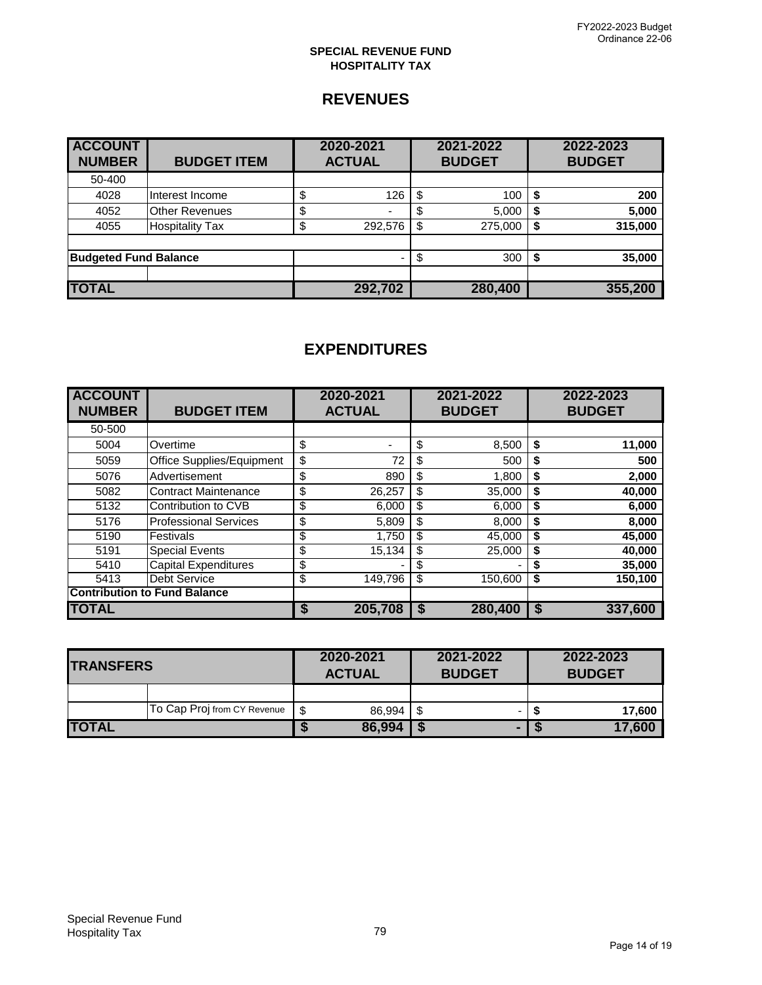### **SPECIAL REVENUE FUND HOSPITALITY TAX**

# **REVENUES**

| <b>ACCOUNT</b><br><b>NUMBER</b> | <b>BUDGET ITEM</b>     | 2020-2021<br><b>ACTUAL</b> | 2021-2022<br><b>BUDGET</b> |         | 2022-2023<br><b>BUDGET</b> |
|---------------------------------|------------------------|----------------------------|----------------------------|---------|----------------------------|
| 50-400                          |                        |                            |                            |         |                            |
| 4028                            | Interest Income        | \$<br>126                  | \$                         | 100     | 200                        |
| 4052                            | <b>Other Revenues</b>  | \$<br>۰                    |                            | 5,000   | 5,000                      |
| 4055                            | <b>Hospitality Tax</b> | \$<br>292,576              | \$                         | 275,000 | 315,000                    |
|                                 |                        |                            |                            |         |                            |
| <b>Budgeted Fund Balance</b>    |                        |                            |                            | 300     | 35,000                     |
|                                 |                        |                            |                            |         |                            |
| <b>TOTAL</b>                    |                        | 292,702                    |                            | 280,400 | 355,200                    |

| <b>ACCOUNT</b><br><b>NUMBER</b> | <b>BUDGET ITEM</b>                  |               | 2020-2021<br><b>ACTUAL</b> | 2021-2022<br><b>BUDGET</b> |         |    | 2022-2023<br><b>BUDGET</b> |
|---------------------------------|-------------------------------------|---------------|----------------------------|----------------------------|---------|----|----------------------------|
| 50-500                          |                                     |               |                            |                            |         |    |                            |
| 5004                            | Overtime                            | \$            | -                          | \$                         | 8,500   | \$ | 11,000                     |
| 5059                            | Office Supplies/Equipment           | $\frac{1}{2}$ | 72                         | \$                         | 500     | \$ | 500                        |
| 5076                            | Advertisement                       | \$            | 890                        | \$                         | 1,800   | \$ | 2,000                      |
| 5082                            | <b>Contract Maintenance</b>         | \$            | 26,257                     | \$                         | 35.000  | \$ | 40,000                     |
| 5132                            | Contribution to CVB                 | \$            | 6,000                      | \$                         | 6.000   | S  | 6,000                      |
| 5176                            | <b>Professional Services</b>        | \$            | 5,809                      | \$                         | 8,000   | \$ | 8,000                      |
| 5190                            | Festivals                           | \$            | 1,750                      | \$                         | 45,000  | S  | 45,000                     |
| 5191                            | <b>Special Events</b>               | \$            | 15,134                     | \$                         | 25,000  | \$ | 40,000                     |
| 5410                            | <b>Capital Expenditures</b>         | \$            |                            | \$                         |         | S  | 35,000                     |
| 5413                            | <b>Debt Service</b>                 | \$            | 149,796                    | \$                         | 150,600 | \$ | 150,100                    |
|                                 | <b>Contribution to Fund Balance</b> |               |                            |                            |         |    |                            |
| <b>TOTAL</b>                    |                                     | S             | 205,708                    | S                          | 280,400 | S  | 337,600                    |

| <b>TRANSFERS</b> |                             | 2020-2021<br><b>ACTUAL</b> |        | 2021-2022<br><b>BUDGET</b> |   |  | 2022-2023<br><b>BUDGET</b> |  |
|------------------|-----------------------------|----------------------------|--------|----------------------------|---|--|----------------------------|--|
|                  |                             |                            |        |                            |   |  |                            |  |
|                  | To Cap Proj from CY Revenue | - \$                       | 86.994 | S                          |   |  | 17,600                     |  |
| <b>TOTAL</b>     |                             |                            | 86,994 |                            | ▬ |  | 17,600                     |  |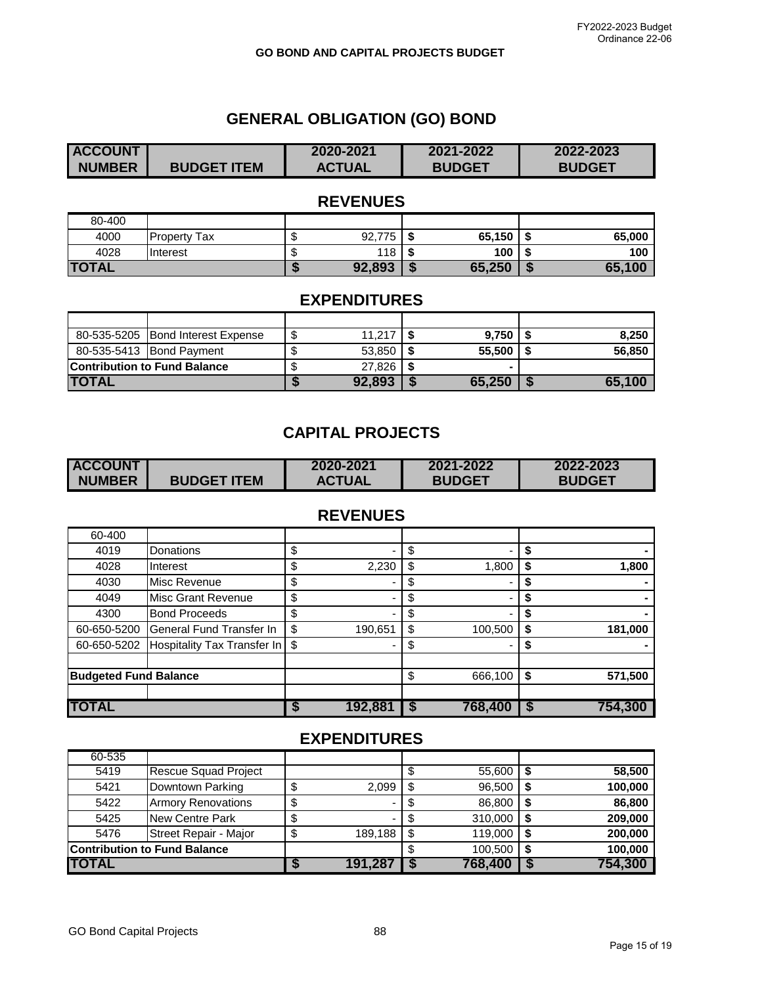# **GENERAL OBLIGATION (GO) BOND**

| <b>ACCOUNT</b> |                    | 2020-2021     | 2021-2022     | 2022-2023     |
|----------------|--------------------|---------------|---------------|---------------|
| <b>NUMBER</b>  | <b>BUDGET ITEM</b> | <b>ACTUAL</b> | <b>BUDGET</b> | <b>BUDGET</b> |

## **REVENUES**

| 80-400       |                     |         |        |    |        |     |        |
|--------------|---------------------|---------|--------|----|--------|-----|--------|
| 4000         | <b>Property Tax</b> | ╓<br>۰D | 92,775 |    | 65,150 | - - | 65,000 |
| 4028         | <b>I</b> Interest   | ۰D      | 118    | -S | 100    | - - | 100    |
| <b>TOTAL</b> |                     |         | 92,893 | J  | 65,250 |     | 65,100 |

## **EXPENDITURES**

|              | 80-535-5205 Bond Interest Expense   | ۰D | 11.217 | $9.750$ | 8,250  |
|--------------|-------------------------------------|----|--------|---------|--------|
|              | 80-535-5413 Bond Payment            |    | 53,850 | 55.500  | 56,850 |
|              | <b>Contribution to Fund Balance</b> |    | 27.826 |         |        |
| <b>TOTAL</b> |                                     |    | 92,893 | 65,250  | 65.100 |

## **CAPITAL PROJECTS**

| <b>ACCOUNT</b> |                    | 2020-2021     | 2021-2022     | 2022-2023     |
|----------------|--------------------|---------------|---------------|---------------|
| <b>NUMBER</b>  | <b>BUDGET ITEM</b> | <b>ACTUAL</b> | <b>BUDGET</b> | <b>BUDGET</b> |

# **REVENUES**

| 60-400                       |                                  |               |    |         |    |         |
|------------------------------|----------------------------------|---------------|----|---------|----|---------|
| 4019                         | Donations                        | \$            |    |         |    |         |
| 4028                         | Interest                         | \$<br>2,230   | \$ | 1,800   | S  | 1,800   |
| 4030                         | Misc Revenue                     | \$            |    | -       | S  |         |
| 4049                         | <b>Misc Grant Revenue</b>        | \$            |    |         |    |         |
| 4300                         | <b>Bond Proceeds</b>             | \$            |    |         |    |         |
| 60-650-5200                  | General Fund Transfer In         | \$<br>190,651 | ß. | 100,500 |    | 181,000 |
| 60-650-5202                  | Hospitality Tax Transfer In   \$ |               |    |         |    |         |
| <b>Budgeted Fund Balance</b> |                                  |               | S  | 666,100 | \$ | 571,500 |
| <b>TOTAL</b>                 |                                  | 192,881       |    | 768,400 |    | 754,300 |

| 60-535 |                                     |         |      |         |         |
|--------|-------------------------------------|---------|------|---------|---------|
| 5419   | <b>Rescue Squad Project</b>         |         |      | 55,600  | 58,500  |
| 5421   | Downtown Parking                    | 2,099   |      | 96,500  | 100,000 |
| 5422   | <b>Armory Renovations</b>           | -       |      | 86.800  | 86,800  |
| 5425   | New Centre Park                     | -       |      | 310,000 | 209,000 |
| 5476   | Street Repair - Major               | 189,188 | - \$ | 119,000 | 200,000 |
|        | <b>Contribution to Fund Balance</b> |         |      | 100.500 | 100,000 |
| TOTAL  |                                     | 191,287 |      | 768,400 | 754,300 |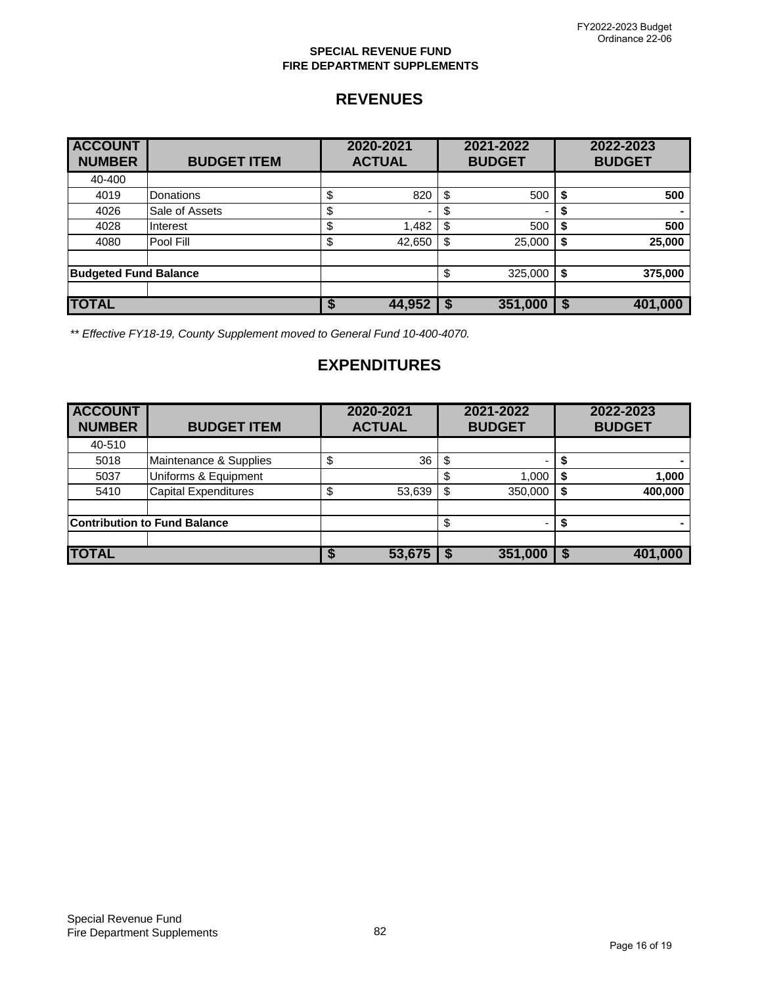### **SPECIAL REVENUE FUND FIRE DEPARTMENT SUPPLEMENTS**

# **REVENUES**

| <b>ACCOUNT</b><br><b>NUMBER</b> | <b>BUDGET ITEM</b> | 2020-2021<br><b>ACTUAL</b>     |      | 2021-2022<br><b>BUDGET</b> |    | 2022-2023<br><b>BUDGET</b> |
|---------------------------------|--------------------|--------------------------------|------|----------------------------|----|----------------------------|
| 40-400                          |                    |                                |      |                            |    |                            |
| 4019                            | Donations          | \$<br>820                      | \$   | 500                        | \$ | 500                        |
| 4026                            | Sale of Assets     | \$<br>$\overline{\phantom{0}}$ | \$   | $\overline{\phantom{0}}$   | \$ |                            |
| 4028                            | Interest           | \$<br>1,482                    | \$   | 500                        | \$ | 500                        |
| 4080                            | Pool Fill          | \$<br>42,650                   | \$   | 25,000                     | \$ | 25,000                     |
|                                 |                    |                                |      |                            |    |                            |
| <b>Budgeted Fund Balance</b>    |                    |                                | \$   | 325,000                    | \$ | 375,000                    |
|                                 |                    |                                |      |                            |    |                            |
| <b>TOTAL</b>                    |                    | 44,952                         | - \$ | 351,000                    | S  | 401,000                    |

*\*\* Effective FY18-19, County Supplement moved to General Fund 10-400-4070.*

| <b>ACCOUNT</b><br><b>NUMBER</b> | <b>BUDGET ITEM</b>                  | 2020-2021<br><b>ACTUAL</b> |   | 2021-2022<br><b>BUDGET</b> | 2022-2023<br><b>BUDGET</b> |
|---------------------------------|-------------------------------------|----------------------------|---|----------------------------|----------------------------|
| 40-510                          |                                     |                            |   |                            |                            |
| 5018                            | Maintenance & Supplies              | \$<br>36                   |   | -                          |                            |
| 5037                            | Uniforms & Equipment                |                            |   | 1.000                      | 1,000                      |
| 5410                            | <b>Capital Expenditures</b>         | 53,639                     | S | 350,000                    | 400,000                    |
|                                 |                                     |                            |   |                            |                            |
|                                 | <b>Contribution to Fund Balance</b> |                            |   | $\overline{\phantom{0}}$   |                            |
|                                 |                                     |                            |   |                            |                            |
| <b>TOTAL</b>                    |                                     | 53,675                     |   | 351,000                    | 401,000                    |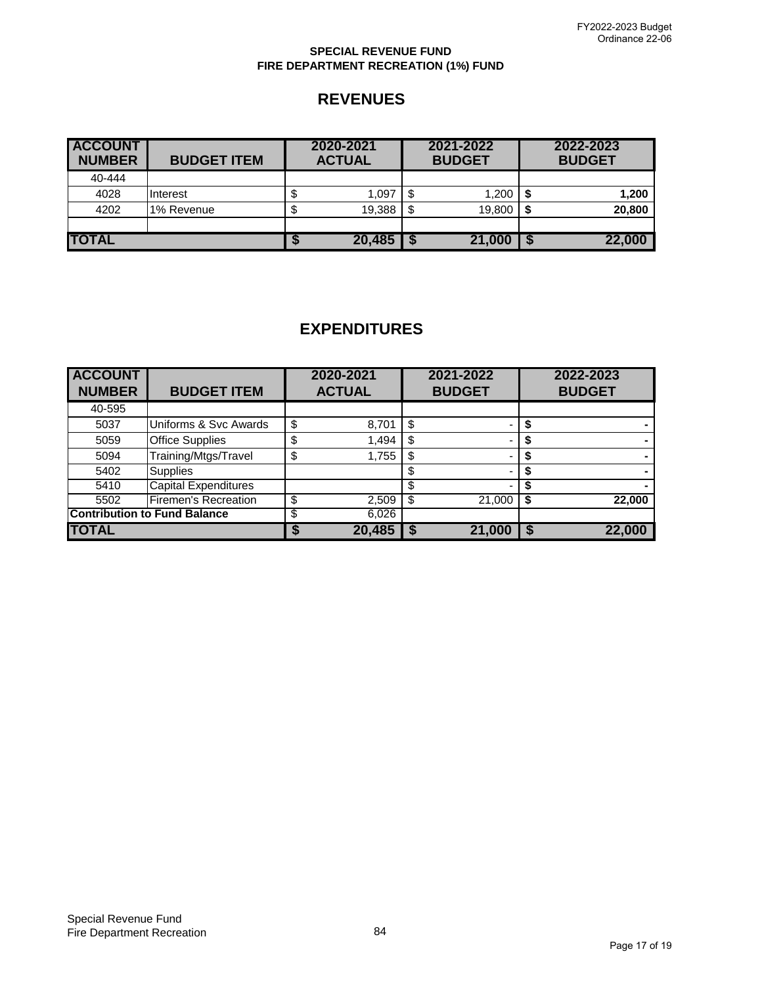### **SPECIAL REVENUE FUND FIRE DEPARTMENT RECREATION (1%) FUND**

## **REVENUES**

| <b>ACCOUNT</b><br><b>NUMBER</b> | <b>BUDGET ITEM</b> | 2020-2021<br><b>ACTUAL</b> | 2021-2022<br><b>BUDGET</b> |        |  | 2022-2023<br><b>BUDGET</b> |
|---------------------------------|--------------------|----------------------------|----------------------------|--------|--|----------------------------|
| 40-444                          |                    |                            |                            |        |  |                            |
| 4028                            | Interest           | 1,097                      |                            | 1,200  |  | 1,200                      |
| 4202                            | 1% Revenue         | 19,388                     |                            | 19,800 |  | 20,800                     |
|                                 |                    |                            |                            |        |  |                            |
| <b>TOTAL</b>                    |                    | 20,485                     |                            | 21,000 |  | 22,000                     |

| <b>ACCOUNT</b><br><b>NUMBER</b> | <b>BUDGET ITEM</b>                  | 2020-2021<br><b>ACTUAL</b> |        | 2021-2022<br><b>BUDGET</b> |        | 2022-2023<br><b>BUDGET</b> |
|---------------------------------|-------------------------------------|----------------------------|--------|----------------------------|--------|----------------------------|
| 40-595                          |                                     |                            |        |                            |        |                            |
|                                 |                                     |                            |        |                            |        |                            |
| 5037                            | Uniforms & Svc Awards               | \$                         | 8,701  |                            |        |                            |
| 5059                            | <b>Office Supplies</b>              | ጥ                          | 1,494  |                            |        |                            |
| 5094                            | Training/Mtgs/Travel                | \$                         | 1,755  |                            |        |                            |
| 5402                            | <b>Supplies</b>                     |                            |        |                            |        |                            |
| 5410                            | <b>Capital Expenditures</b>         |                            |        |                            |        |                            |
| 5502                            | <b>Firemen's Recreation</b>         | \$                         | 2,509  |                            | 21,000 | 22,000                     |
|                                 | <b>Contribution to Fund Balance</b> | S                          | 6,026  |                            |        |                            |
| <b>TOTAL</b>                    |                                     |                            | 20.485 |                            | 21,000 | 22,000                     |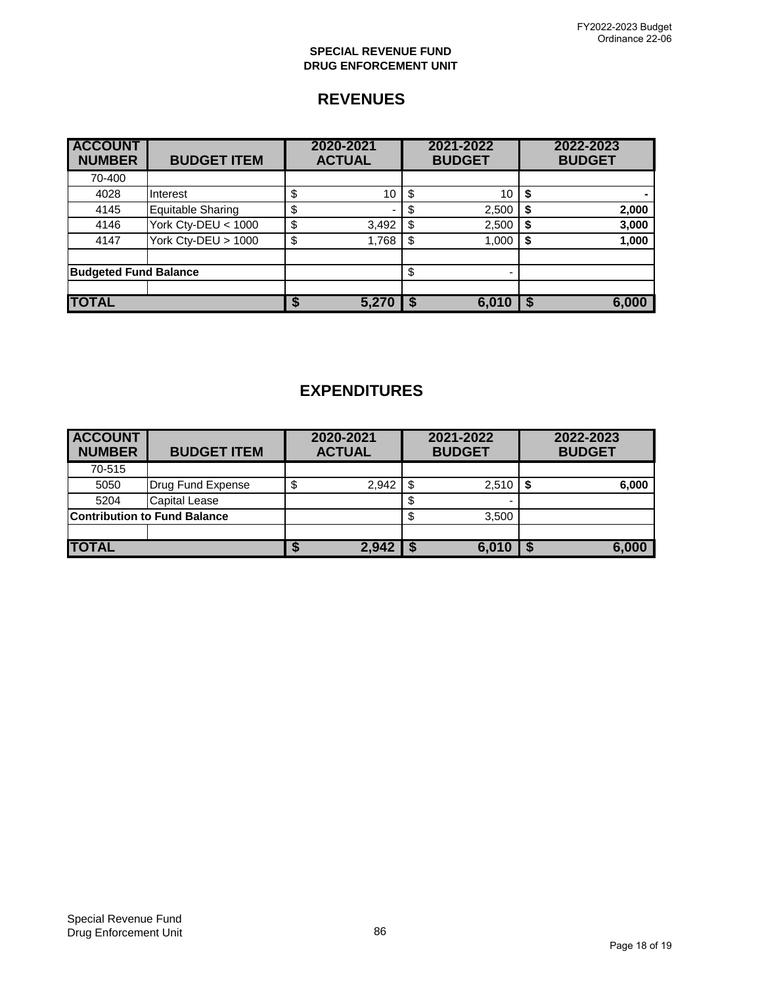### **SPECIAL REVENUE FUND DRUG ENFORCEMENT UNIT**

# **REVENUES**

| <b>ACCOUNT</b><br><b>NUMBER</b> | <b>BUDGET ITEM</b>       | 2020-2021<br><b>ACTUAL</b> |       | 2021-2022<br><b>BUDGET</b> |    | 2022-2023<br><b>BUDGET</b> |
|---------------------------------|--------------------------|----------------------------|-------|----------------------------|----|----------------------------|
| 70-400                          |                          |                            |       |                            |    |                            |
| 4028                            | Interest                 | \$                         | 10    | 10                         | S  |                            |
| 4145                            | <b>Equitable Sharing</b> | \$                         |       | 2,500                      | S  | 2,000                      |
| 4146                            | York Cty-DEU < 1000      | \$                         | 3,492 | 2,500                      | \$ | 3,000                      |
| 4147                            | York Cty-DEU > 1000      | \$                         | 1,768 | 1,000                      | \$ | 1,000                      |
|                                 |                          |                            |       |                            |    |                            |
| <b>Budgeted Fund Balance</b>    |                          |                            |       | $\overline{\phantom{0}}$   |    |                            |
|                                 |                          |                            |       |                            |    |                            |
| <b>TOTAL</b>                    |                          |                            | 5,270 | 6.010                      |    | 6,000                      |

| <b>ACCOUNT</b><br><b>NUMBER</b> | <b>BUDGET ITEM</b>                  |   | 2020-2021<br><b>ACTUAL</b> |      | 2021-2022<br><b>BUDGET</b> | 2022-2023<br><b>BUDGET</b> |
|---------------------------------|-------------------------------------|---|----------------------------|------|----------------------------|----------------------------|
| 70-515                          |                                     |   |                            |      |                            |                            |
| 5050                            | Drug Fund Expense                   | S | 2,942                      | - \$ | 2,510                      | 6,000                      |
| 5204                            | Capital Lease                       |   |                            |      |                            |                            |
|                                 | <b>Contribution to Fund Balance</b> |   |                            |      | 3,500                      |                            |
|                                 |                                     |   |                            |      |                            |                            |
| <b>TOTAL</b>                    |                                     |   | 2,942                      |      | 6.010                      | 6,000                      |